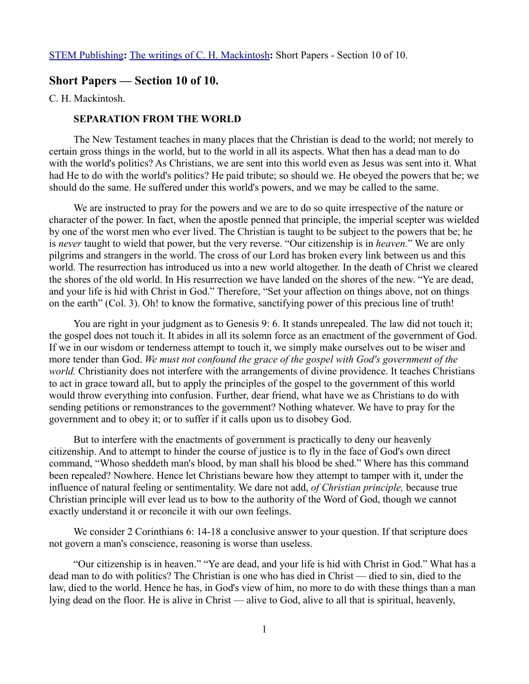## **Short Papers — Section 10 of 10.**

C. H. Mackintosh.

### **SEPARATION FROM THE WORLD**

The New Testament teaches in many places that the Christian is dead to the world; not merely to certain gross things in the world, but to the world in all its aspects. What then has a dead man to do with the world's politics? As Christians, we are sent into this world even as Jesus was sent into it. What had He to do with the world's politics? He paid tribute; so should we. He obeyed the powers that be; we should do the same. He suffered under this world's powers, and we may be called to the same.

We are instructed to pray for the powers and we are to do so quite irrespective of the nature or character of the power. In fact, when the apostle penned that principle, the imperial scepter was wielded by one of the worst men who ever lived. The Christian is taught to be subject to the powers that be; he is *never* taught to wield that power, but the very reverse. "Our citizenship is in *heaven.*" We are only pilgrims and strangers in the world. The cross of our Lord has broken every link between us and this world. The resurrection has introduced us into a new world altogether. In the death of Christ we cleared the shores of the old world. In His resurrection we have landed on the shores of the new. "Ye are dead, and your life is hid with Christ in God." Therefore, "Set your affection on things above, not on things on the earth" (Col. 3). Oh! to know the formative, sanctifying power of this precious line of truth!

You are right in your judgment as to Genesis 9: 6. It stands unrepealed. The law did not touch it; the gospel does not touch it. It abides in all its solemn force as an enactment of the government of God. If we in our wisdom or tenderness attempt to touch it, we simply make ourselves out to be wiser and more tender than God. *We must not confound the grace of the gospel with God's government of the world.* Christianity does not interfere with the arrangements of divine providence. It teaches Christians to act in grace toward all, but to apply the principles of the gospel to the government of this world would throw everything into confusion. Further, dear friend, what have we as Christians to do with sending petitions or remonstrances to the government? Nothing whatever. We have to pray for the government and to obey it; or to suffer if it calls upon us to disobey God.

But to interfere with the enactments of government is practically to deny our heavenly citizenship. And to attempt to hinder the course of justice is to fly in the face of God's own direct command, "Whoso sheddeth man's blood, by man shall his blood be shed." Where has this command been repealed? Nowhere. Hence let Christians beware how they attempt to tamper with it, under the influence of natural feeling or sentimentality. We dare not add, *of Christian principle,* because true Christian principle will ever lead us to bow to the authority of the Word of God, though we cannot exactly understand it or reconcile it with our own feelings.

We consider 2 Corinthians 6: 14-18 a conclusive answer to your question. If that scripture does not govern a man's conscience, reasoning is worse than useless.

"Our citizenship is in heaven." "Ye are dead, and your life is hid with Christ in God." What has a dead man to do with politics? The Christian is one who has died in Christ — died to sin, died to the law, died to the world. Hence he has, in God's view of him, no more to do with these things than a man lying dead on the floor. He is alive in Christ — alive to God, alive to all that is spiritual, heavenly,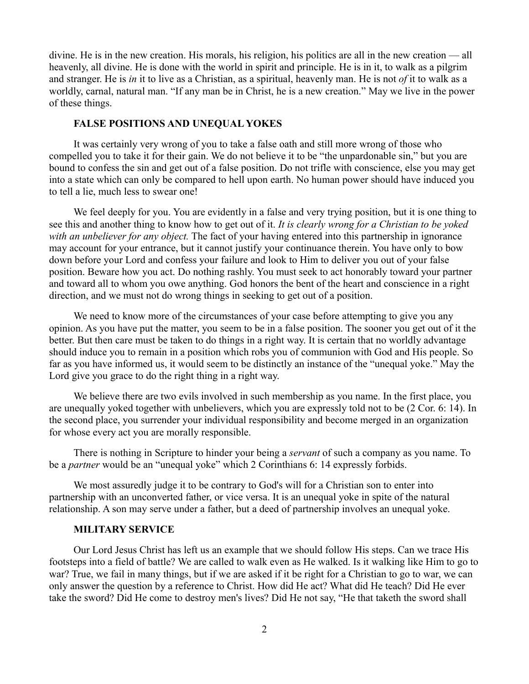divine. He is in the new creation. His morals, his religion, his politics are all in the new creation — all heavenly, all divine. He is done with the world in spirit and principle. He is in it, to walk as a pilgrim and stranger. He is *in* it to live as a Christian, as a spiritual, heavenly man. He is not *of* it to walk as a worldly, carnal, natural man. "If any man be in Christ, he is a new creation." May we live in the power of these things.

# **FALSE POSITIONS AND UNEQUAL YOKES**

It was certainly very wrong of you to take a false oath and still more wrong of those who compelled you to take it for their gain. We do not believe it to be "the unpardonable sin," but you are bound to confess the sin and get out of a false position. Do not trifle with conscience, else you may get into a state which can only be compared to hell upon earth. No human power should have induced you to tell a lie, much less to swear one!

We feel deeply for you. You are evidently in a false and very trying position, but it is one thing to see this and another thing to know how to get out of it. *It is clearly wrong for a Christian to be yoked with an unbeliever for any object.* The fact of your having entered into this partnership in ignorance may account for your entrance, but it cannot justify your continuance therein. You have only to bow down before your Lord and confess your failure and look to Him to deliver you out of your false position. Beware how you act. Do nothing rashly. You must seek to act honorably toward your partner and toward all to whom you owe anything. God honors the bent of the heart and conscience in a right direction, and we must not do wrong things in seeking to get out of a position.

We need to know more of the circumstances of your case before attempting to give you any opinion. As you have put the matter, you seem to be in a false position. The sooner you get out of it the better. But then care must be taken to do things in a right way. It is certain that no worldly advantage should induce you to remain in a position which robs you of communion with God and His people. So far as you have informed us, it would seem to be distinctly an instance of the "unequal yoke." May the Lord give you grace to do the right thing in a right way.

We believe there are two evils involved in such membership as you name. In the first place, you are unequally yoked together with unbelievers, which you are expressly told not to be (2 Cor. 6: 14). In the second place, you surrender your individual responsibility and become merged in an organization for whose every act you are morally responsible.

There is nothing in Scripture to hinder your being a *servant* of such a company as you name. To be a *partner* would be an "unequal yoke" which 2 Corinthians 6: 14 expressly forbids.

We most assuredly judge it to be contrary to God's will for a Christian son to enter into partnership with an unconverted father, or vice versa. It is an unequal yoke in spite of the natural relationship. A son may serve under a father, but a deed of partnership involves an unequal yoke.

### **MILITARY SERVICE**

Our Lord Jesus Christ has left us an example that we should follow His steps. Can we trace His footsteps into a field of battle? We are called to walk even as He walked. Is it walking like Him to go to war? True, we fail in many things, but if we are asked if it be right for a Christian to go to war, we can only answer the question by a reference to Christ. How did He act? What did He teach? Did He ever take the sword? Did He come to destroy men's lives? Did He not say, "He that taketh the sword shall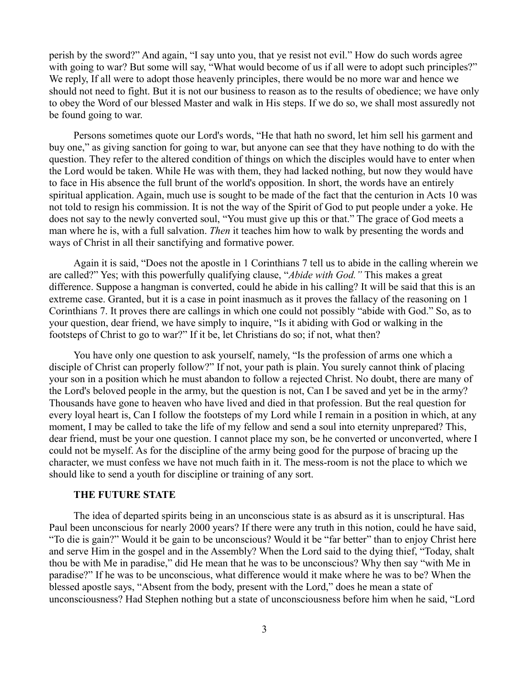perish by the sword?" And again, "I say unto you, that ye resist not evil." How do such words agree with going to war? But some will say, "What would become of us if all were to adopt such principles?" We reply, If all were to adopt those heavenly principles, there would be no more war and hence we should not need to fight. But it is not our business to reason as to the results of obedience; we have only to obey the Word of our blessed Master and walk in His steps. If we do so, we shall most assuredly not be found going to war.

Persons sometimes quote our Lord's words, "He that hath no sword, let him sell his garment and buy one," as giving sanction for going to war, but anyone can see that they have nothing to do with the question. They refer to the altered condition of things on which the disciples would have to enter when the Lord would be taken. While He was with them, they had lacked nothing, but now they would have to face in His absence the full brunt of the world's opposition. In short, the words have an entirely spiritual application. Again, much use is sought to be made of the fact that the centurion in Acts 10 was not told to resign his commission. It is not the way of the Spirit of God to put people under a yoke. He does not say to the newly converted soul, "You must give up this or that." The grace of God meets a man where he is, with a full salvation. *Then* it teaches him how to walk by presenting the words and ways of Christ in all their sanctifying and formative power.

Again it is said, "Does not the apostle in 1 Corinthians 7 tell us to abide in the calling wherein we are called?" Yes; with this powerfully qualifying clause, "*Abide with God."* This makes a great difference. Suppose a hangman is converted, could he abide in his calling? It will be said that this is an extreme case. Granted, but it is a case in point inasmuch as it proves the fallacy of the reasoning on 1 Corinthians 7. It proves there are callings in which one could not possibly "abide with God." So, as to your question, dear friend, we have simply to inquire, "Is it abiding with God or walking in the footsteps of Christ to go to war?" If it be, let Christians do so; if not, what then?

You have only one question to ask yourself, namely, "Is the profession of arms one which a disciple of Christ can properly follow?" If not, your path is plain. You surely cannot think of placing your son in a position which he must abandon to follow a rejected Christ. No doubt, there are many of the Lord's beloved people in the army, but the question is not, Can I be saved and yet be in the army? Thousands have gone to heaven who have lived and died in that profession. But the real question for every loyal heart is, Can I follow the footsteps of my Lord while I remain in a position in which, at any moment, I may be called to take the life of my fellow and send a soul into eternity unprepared? This, dear friend, must be your one question. I cannot place my son, be he converted or unconverted, where I could not be myself. As for the discipline of the army being good for the purpose of bracing up the character, we must confess we have not much faith in it. The mess-room is not the place to which we should like to send a youth for discipline or training of any sort.

#### **THE FUTURE STATE**

The idea of departed spirits being in an unconscious state is as absurd as it is unscriptural. Has Paul been unconscious for nearly 2000 years? If there were any truth in this notion, could he have said, "To die is gain?" Would it be gain to be unconscious? Would it be "far better" than to enjoy Christ here and serve Him in the gospel and in the Assembly? When the Lord said to the dying thief, "Today, shalt thou be with Me in paradise," did He mean that he was to be unconscious? Why then say "with Me in paradise?" If he was to be unconscious, what difference would it make where he was to be? When the blessed apostle says, "Absent from the body, present with the Lord," does he mean a state of unconsciousness? Had Stephen nothing but a state of unconsciousness before him when he said, "Lord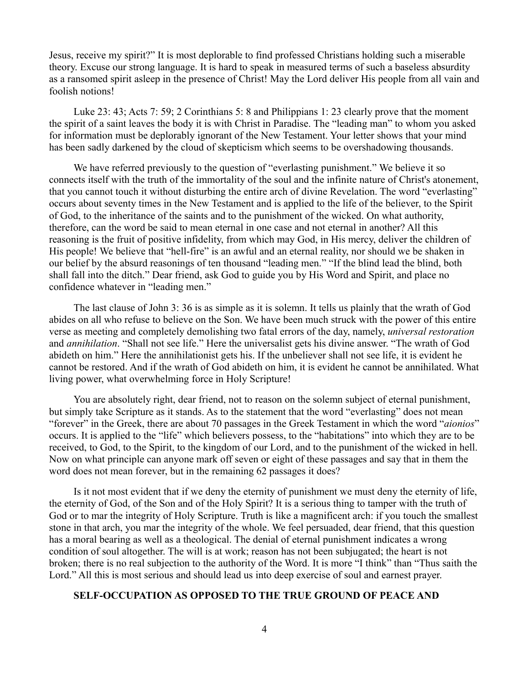Jesus, receive my spirit?" It is most deplorable to find professed Christians holding such a miserable theory. Excuse our strong language. It is hard to speak in measured terms of such a baseless absurdity as a ransomed spirit asleep in the presence of Christ! May the Lord deliver His people from all vain and foolish notions!

Luke 23: 43; Acts 7: 59; 2 Corinthians 5: 8 and Philippians 1: 23 clearly prove that the moment the spirit of a saint leaves the body it is with Christ in Paradise. The "leading man" to whom you asked for information must be deplorably ignorant of the New Testament. Your letter shows that your mind has been sadly darkened by the cloud of skepticism which seems to be overshadowing thousands.

We have referred previously to the question of "everlasting punishment." We believe it so connects itself with the truth of the immortality of the soul and the infinite nature of Christ's atonement, that you cannot touch it without disturbing the entire arch of divine Revelation. The word "everlasting" occurs about seventy times in the New Testament and is applied to the life of the believer, to the Spirit of God, to the inheritance of the saints and to the punishment of the wicked. On what authority, therefore, can the word be said to mean eternal in one case and not eternal in another? All this reasoning is the fruit of positive infidelity, from which may God, in His mercy, deliver the children of His people! We believe that "hell-fire" is an awful and an eternal reality, nor should we be shaken in our belief by the absurd reasonings of ten thousand "leading men." "If the blind lead the blind, both shall fall into the ditch." Dear friend, ask God to guide you by His Word and Spirit, and place no confidence whatever in "leading men."

The last clause of John 3: 36 is as simple as it is solemn. It tells us plainly that the wrath of God abides on all who refuse to believe on the Son. We have been much struck with the power of this entire verse as meeting and completely demolishing two fatal errors of the day, namely, *universal restoration* and *annihilation*. "Shall not see life." Here the universalist gets his divine answer. "The wrath of God abideth on him." Here the annihilationist gets his. If the unbeliever shall not see life, it is evident he cannot be restored. And if the wrath of God abideth on him, it is evident he cannot be annihilated. What living power, what overwhelming force in Holy Scripture!

You are absolutely right, dear friend, not to reason on the solemn subject of eternal punishment, but simply take Scripture as it stands. As to the statement that the word "everlasting" does not mean "forever" in the Greek, there are about 70 passages in the Greek Testament in which the word "*aionios*" occurs. It is applied to the "life" which believers possess, to the "habitations" into which they are to be received, to God, to the Spirit, to the kingdom of our Lord, and to the punishment of the wicked in hell. Now on what principle can anyone mark off seven or eight of these passages and say that in them the word does not mean forever, but in the remaining 62 passages it does?

Is it not most evident that if we deny the eternity of punishment we must deny the eternity of life, the eternity of God, of the Son and of the Holy Spirit? It is a serious thing to tamper with the truth of God or to mar the integrity of Holy Scripture. Truth is like a magnificent arch: if you touch the smallest stone in that arch, you mar the integrity of the whole. We feel persuaded, dear friend, that this question has a moral bearing as well as a theological. The denial of eternal punishment indicates a wrong condition of soul altogether. The will is at work; reason has not been subjugated; the heart is not broken; there is no real subjection to the authority of the Word. It is more "I think" than "Thus saith the Lord." All this is most serious and should lead us into deep exercise of soul and earnest prayer.

# **SELF-OCCUPATION AS OPPOSED TO THE TRUE GROUND OF PEACE AND**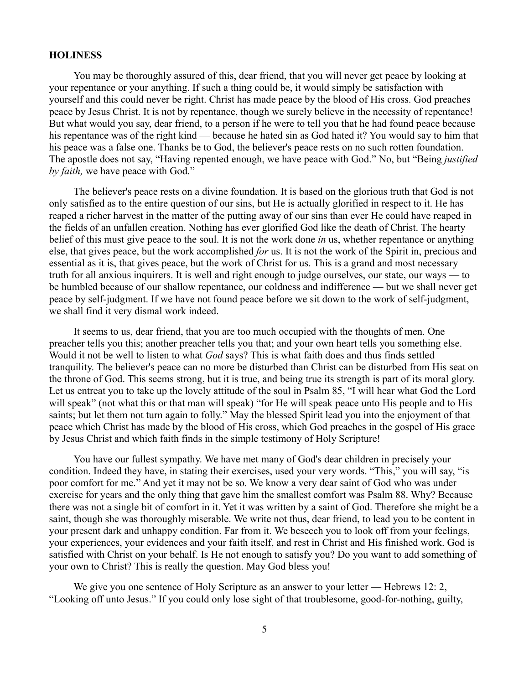#### **HOLINESS**

You may be thoroughly assured of this, dear friend, that you will never get peace by looking at your repentance or your anything. If such a thing could be, it would simply be satisfaction with yourself and this could never be right. Christ has made peace by the blood of His cross. God preaches peace by Jesus Christ. It is not by repentance, though we surely believe in the necessity of repentance! But what would you say, dear friend, to a person if he were to tell you that he had found peace because his repentance was of the right kind — because he hated sin as God hated it? You would say to him that his peace was a false one. Thanks be to God, the believer's peace rests on no such rotten foundation. The apostle does not say, "Having repented enough, we have peace with God." No, but "Being *justified by faith,* we have peace with God."

The believer's peace rests on a divine foundation. It is based on the glorious truth that God is not only satisfied as to the entire question of our sins, but He is actually glorified in respect to it. He has reaped a richer harvest in the matter of the putting away of our sins than ever He could have reaped in the fields of an unfallen creation. Nothing has ever glorified God like the death of Christ. The hearty belief of this must give peace to the soul. It is not the work done *in* us, whether repentance or anything else, that gives peace, but the work accomplished *for* us. It is not the work of the Spirit in, precious and essential as it is, that gives peace, but the work of Christ for us. This is a grand and most necessary truth for all anxious inquirers. It is well and right enough to judge ourselves, our state, our ways — to be humbled because of our shallow repentance, our coldness and indifference — but we shall never get peace by self-judgment. If we have not found peace before we sit down to the work of self-judgment, we shall find it very dismal work indeed.

It seems to us, dear friend, that you are too much occupied with the thoughts of men. One preacher tells you this; another preacher tells you that; and your own heart tells you something else. Would it not be well to listen to what *God* says? This is what faith does and thus finds settled tranquility. The believer's peace can no more be disturbed than Christ can be disturbed from His seat on the throne of God. This seems strong, but it is true, and being true its strength is part of its moral glory. Let us entreat you to take up the lovely attitude of the soul in Psalm 85, "I will hear what God the Lord will speak" (not what this or that man will speak) "for He will speak peace unto His people and to His saints; but let them not turn again to folly." May the blessed Spirit lead you into the enjoyment of that peace which Christ has made by the blood of His cross, which God preaches in the gospel of His grace by Jesus Christ and which faith finds in the simple testimony of Holy Scripture!

You have our fullest sympathy. We have met many of God's dear children in precisely your condition. Indeed they have, in stating their exercises, used your very words. "This," you will say, "is poor comfort for me." And yet it may not be so. We know a very dear saint of God who was under exercise for years and the only thing that gave him the smallest comfort was Psalm 88. Why? Because there was not a single bit of comfort in it. Yet it was written by a saint of God. Therefore she might be a saint, though she was thoroughly miserable. We write not thus, dear friend, to lead you to be content in your present dark and unhappy condition. Far from it. We beseech you to look off from your feelings, your experiences, your evidences and your faith itself, and rest in Christ and His finished work. God is satisfied with Christ on your behalf. Is He not enough to satisfy you? Do you want to add something of your own to Christ? This is really the question. May God bless you!

We give you one sentence of Holy Scripture as an answer to your letter — Hebrews 12: 2, "Looking off unto Jesus." If you could only lose sight of that troublesome, good-for-nothing, guilty,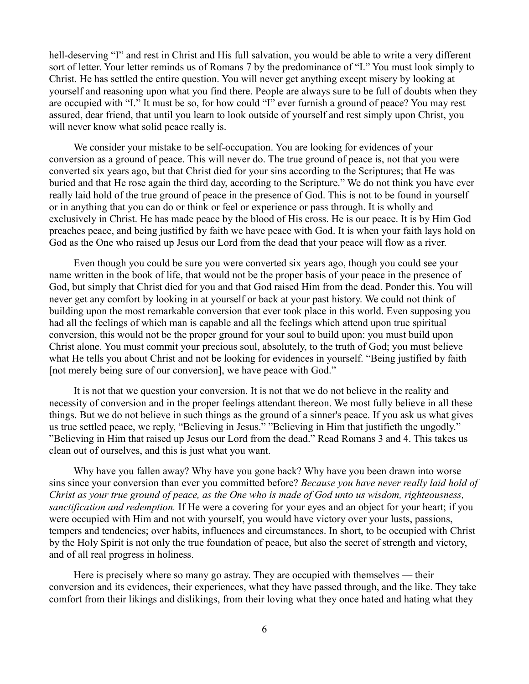hell-deserving "I" and rest in Christ and His full salvation, you would be able to write a very different sort of letter. Your letter reminds us of Romans 7 by the predominance of "I." You must look simply to Christ. He has settled the entire question. You will never get anything except misery by looking at yourself and reasoning upon what you find there. People are always sure to be full of doubts when they are occupied with "I." It must be so, for how could "I" ever furnish a ground of peace? You may rest assured, dear friend, that until you learn to look outside of yourself and rest simply upon Christ, you will never know what solid peace really is.

We consider your mistake to be self-occupation. You are looking for evidences of your conversion as a ground of peace. This will never do. The true ground of peace is, not that you were converted six years ago, but that Christ died for your sins according to the Scriptures; that He was buried and that He rose again the third day, according to the Scripture." We do not think you have ever really laid hold of the true ground of peace in the presence of God. This is not to be found in yourself or in anything that you can do or think or feel or experience or pass through. It is wholly and exclusively in Christ. He has made peace by the blood of His cross. He is our peace. It is by Him God preaches peace, and being justified by faith we have peace with God. It is when your faith lays hold on God as the One who raised up Jesus our Lord from the dead that your peace will flow as a river.

Even though you could be sure you were converted six years ago, though you could see your name written in the book of life, that would not be the proper basis of your peace in the presence of God, but simply that Christ died for you and that God raised Him from the dead. Ponder this. You will never get any comfort by looking in at yourself or back at your past history. We could not think of building upon the most remarkable conversion that ever took place in this world. Even supposing you had all the feelings of which man is capable and all the feelings which attend upon true spiritual conversion, this would not be the proper ground for your soul to build upon: you must build upon Christ alone. You must commit your precious soul, absolutely, to the truth of God; you must believe what He tells you about Christ and not be looking for evidences in yourself. "Being justified by faith [not merely being sure of our conversion], we have peace with God."

It is not that we question your conversion. It is not that we do not believe in the reality and necessity of conversion and in the proper feelings attendant thereon. We most fully believe in all these things. But we do not believe in such things as the ground of a sinner's peace. If you ask us what gives us true settled peace, we reply, "Believing in Jesus." "Believing in Him that justifieth the ungodly." "Believing in Him that raised up Jesus our Lord from the dead." Read Romans 3 and 4. This takes us clean out of ourselves, and this is just what you want.

Why have you fallen away? Why have you gone back? Why have you been drawn into worse sins since your conversion than ever you committed before? *Because you have never really laid hold of Christ as your true ground of peace, as the One who is made of God unto us wisdom, righteousness, sanctification and redemption.* If He were a covering for your eyes and an object for your heart; if you were occupied with Him and not with yourself, you would have victory over your lusts, passions, tempers and tendencies; over habits, influences and circumstances. In short, to be occupied with Christ by the Holy Spirit is not only the true foundation of peace, but also the secret of strength and victory, and of all real progress in holiness.

Here is precisely where so many go astray. They are occupied with themselves — their conversion and its evidences, their experiences, what they have passed through, and the like. They take comfort from their likings and dislikings, from their loving what they once hated and hating what they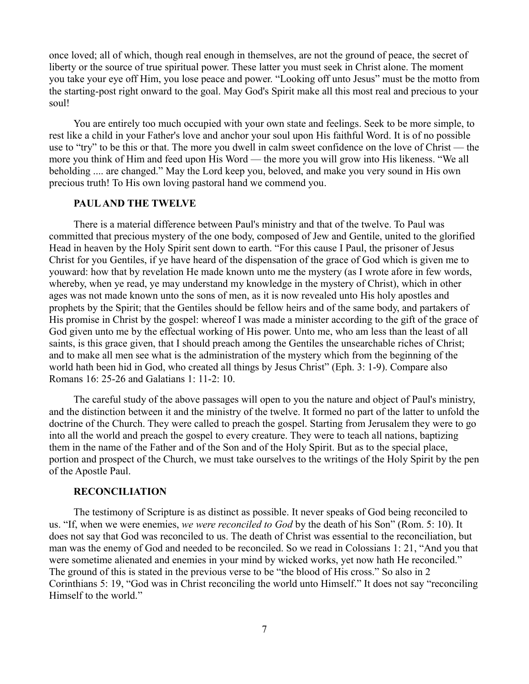once loved; all of which, though real enough in themselves, are not the ground of peace, the secret of liberty or the source of true spiritual power. These latter you must seek in Christ alone. The moment you take your eye off Him, you lose peace and power. "Looking off unto Jesus" must be the motto from the starting-post right onward to the goal. May God's Spirit make all this most real and precious to your soul!

You are entirely too much occupied with your own state and feelings. Seek to be more simple, to rest like a child in your Father's love and anchor your soul upon His faithful Word. It is of no possible use to "try" to be this or that. The more you dwell in calm sweet confidence on the love of Christ — the more you think of Him and feed upon His Word — the more you will grow into His likeness. "We all beholding .... are changed." May the Lord keep you, beloved, and make you very sound in His own precious truth! To His own loving pastoral hand we commend you.

### **PAUL AND THE TWELVE**

There is a material difference between Paul's ministry and that of the twelve. To Paul was committed that precious mystery of the one body, composed of Jew and Gentile, united to the glorified Head in heaven by the Holy Spirit sent down to earth. "For this cause I Paul, the prisoner of Jesus Christ for you Gentiles, if ye have heard of the dispensation of the grace of God which is given me to youward: how that by revelation He made known unto me the mystery (as I wrote afore in few words, whereby, when ye read, ye may understand my knowledge in the mystery of Christ), which in other ages was not made known unto the sons of men, as it is now revealed unto His holy apostles and prophets by the Spirit; that the Gentiles should be fellow heirs and of the same body, and partakers of His promise in Christ by the gospel: whereof I was made a minister according to the gift of the grace of God given unto me by the effectual working of His power. Unto me, who am less than the least of all saints, is this grace given, that I should preach among the Gentiles the unsearchable riches of Christ; and to make all men see what is the administration of the mystery which from the beginning of the world hath been hid in God, who created all things by Jesus Christ" (Eph. 3: 1-9). Compare also Romans 16: 25-26 and Galatians 1: 11-2: 10.

The careful study of the above passages will open to you the nature and object of Paul's ministry, and the distinction between it and the ministry of the twelve. It formed no part of the latter to unfold the doctrine of the Church. They were called to preach the gospel. Starting from Jerusalem they were to go into all the world and preach the gospel to every creature. They were to teach all nations, baptizing them in the name of the Father and of the Son and of the Holy Spirit. But as to the special place, portion and prospect of the Church, we must take ourselves to the writings of the Holy Spirit by the pen of the Apostle Paul.

### **RECONCILIATION**

The testimony of Scripture is as distinct as possible. It never speaks of God being reconciled to us. "If, when we were enemies, *we were reconciled to God* by the death of his Son" (Rom. 5: 10). It does not say that God was reconciled to us. The death of Christ was essential to the reconciliation, but man was the enemy of God and needed to be reconciled. So we read in Colossians 1: 21, "And you that were sometime alienated and enemies in your mind by wicked works, yet now hath He reconciled." The ground of this is stated in the previous verse to be "the blood of His cross." So also in 2 Corinthians 5: 19, "God was in Christ reconciling the world unto Himself." It does not say "reconciling Himself to the world."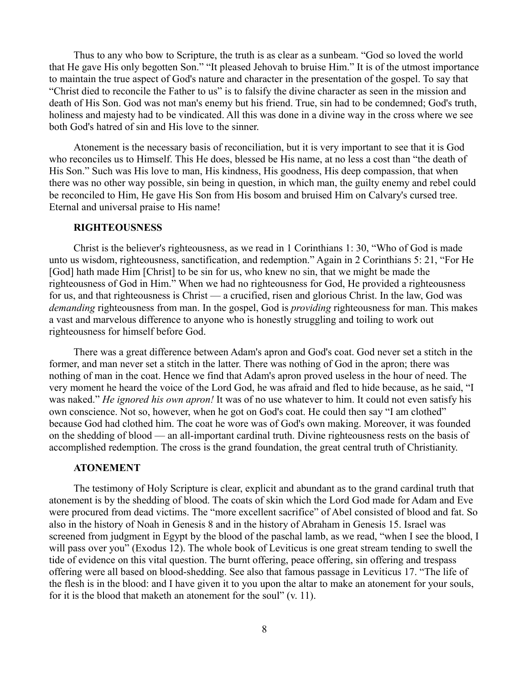Thus to any who bow to Scripture, the truth is as clear as a sunbeam. "God so loved the world that He gave His only begotten Son." "It pleased Jehovah to bruise Him." It is of the utmost importance to maintain the true aspect of God's nature and character in the presentation of the gospel. To say that "Christ died to reconcile the Father to us" is to falsify the divine character as seen in the mission and death of His Son. God was not man's enemy but his friend. True, sin had to be condemned; God's truth, holiness and majesty had to be vindicated. All this was done in a divine way in the cross where we see both God's hatred of sin and His love to the sinner.

Atonement is the necessary basis of reconciliation, but it is very important to see that it is God who reconciles us to Himself. This He does, blessed be His name, at no less a cost than "the death of His Son." Such was His love to man, His kindness, His goodness, His deep compassion, that when there was no other way possible, sin being in question, in which man, the guilty enemy and rebel could be reconciled to Him, He gave His Son from His bosom and bruised Him on Calvary's cursed tree. Eternal and universal praise to His name!

### **RIGHTEOUSNESS**

Christ is the believer's righteousness, as we read in 1 Corinthians 1: 30, "Who of God is made unto us wisdom, righteousness, sanctification, and redemption." Again in 2 Corinthians 5: 21, "For He [God] hath made Him [Christ] to be sin for us, who knew no sin, that we might be made the righteousness of God in Him." When we had no righteousness for God, He provided a righteousness for us, and that righteousness is Christ — a crucified, risen and glorious Christ. In the law, God was *demanding* righteousness from man. In the gospel, God is *providing* righteousness for man. This makes a vast and marvelous difference to anyone who is honestly struggling and toiling to work out righteousness for himself before God.

There was a great difference between Adam's apron and God's coat. God never set a stitch in the former, and man never set a stitch in the latter. There was nothing of God in the apron; there was nothing of man in the coat. Hence we find that Adam's apron proved useless in the hour of need. The very moment he heard the voice of the Lord God, he was afraid and fled to hide because, as he said, "I was naked." *He ignored his own apron!* It was of no use whatever to him. It could not even satisfy his own conscience. Not so, however, when he got on God's coat. He could then say "I am clothed" because God had clothed him. The coat he wore was of God's own making. Moreover, it was founded on the shedding of blood — an all-important cardinal truth. Divine righteousness rests on the basis of accomplished redemption. The cross is the grand foundation, the great central truth of Christianity.

#### **ATONEMENT**

The testimony of Holy Scripture is clear, explicit and abundant as to the grand cardinal truth that atonement is by the shedding of blood. The coats of skin which the Lord God made for Adam and Eve were procured from dead victims. The "more excellent sacrifice" of Abel consisted of blood and fat. So also in the history of Noah in Genesis 8 and in the history of Abraham in Genesis 15. Israel was screened from judgment in Egypt by the blood of the paschal lamb, as we read, "when I see the blood, I will pass over you" (Exodus 12). The whole book of Leviticus is one great stream tending to swell the tide of evidence on this vital question. The burnt offering, peace offering, sin offering and trespass offering were all based on blood-shedding. See also that famous passage in Leviticus 17. "The life of the flesh is in the blood: and I have given it to you upon the altar to make an atonement for your souls, for it is the blood that maketh an atonement for the soul" (v. 11).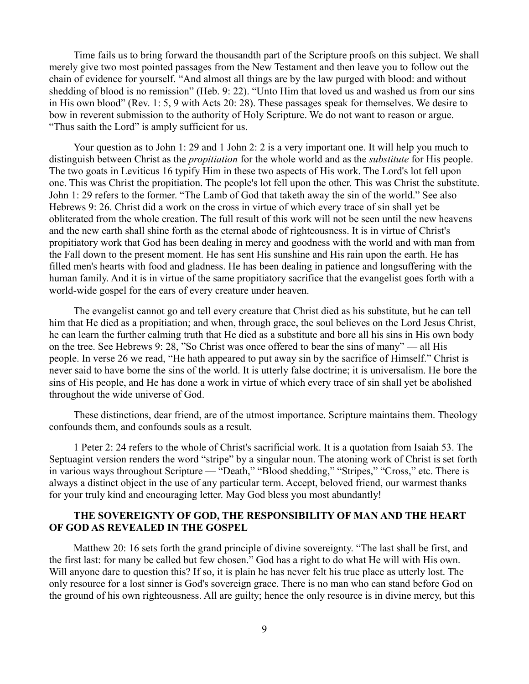Time fails us to bring forward the thousandth part of the Scripture proofs on this subject. We shall merely give two most pointed passages from the New Testament and then leave you to follow out the chain of evidence for yourself. "And almost all things are by the law purged with blood: and without shedding of blood is no remission" (Heb. 9: 22). "Unto Him that loved us and washed us from our sins in His own blood" (Rev. 1: 5, 9 with Acts 20: 28). These passages speak for themselves. We desire to bow in reverent submission to the authority of Holy Scripture. We do not want to reason or argue. "Thus saith the Lord" is amply sufficient for us.

Your question as to John 1: 29 and 1 John 2: 2 is a very important one. It will help you much to distinguish between Christ as the *propitiation* for the whole world and as the *substitute* for His people. The two goats in Leviticus 16 typify Him in these two aspects of His work. The Lord's lot fell upon one. This was Christ the propitiation. The people's lot fell upon the other. This was Christ the substitute. John 1: 29 refers to the former. "The Lamb of God that taketh away the sin of the world." See also Hebrews 9: 26. Christ did a work on the cross in virtue of which every trace of sin shall yet be obliterated from the whole creation. The full result of this work will not be seen until the new heavens and the new earth shall shine forth as the eternal abode of righteousness. It is in virtue of Christ's propitiatory work that God has been dealing in mercy and goodness with the world and with man from the Fall down to the present moment. He has sent His sunshine and His rain upon the earth. He has filled men's hearts with food and gladness. He has been dealing in patience and longsuffering with the human family. And it is in virtue of the same propitiatory sacrifice that the evangelist goes forth with a world-wide gospel for the ears of every creature under heaven.

The evangelist cannot go and tell every creature that Christ died as his substitute, but he can tell him that He died as a propitiation; and when, through grace, the soul believes on the Lord Jesus Christ, he can learn the further calming truth that He died as a substitute and bore all his sins in His own body on the tree. See Hebrews 9: 28, "So Christ was once offered to bear the sins of many" — all His people. In verse 26 we read, "He hath appeared to put away sin by the sacrifice of Himself." Christ is never said to have borne the sins of the world. It is utterly false doctrine; it is universalism. He bore the sins of His people, and He has done a work in virtue of which every trace of sin shall yet be abolished throughout the wide universe of God.

These distinctions, dear friend, are of the utmost importance. Scripture maintains them. Theology confounds them, and confounds souls as a result.

1 Peter 2: 24 refers to the whole of Christ's sacrificial work. It is a quotation from Isaiah 53. The Septuagint version renders the word "stripe" by a singular noun. The atoning work of Christ is set forth in various ways throughout Scripture — "Death," "Blood shedding," "Stripes," "Cross," etc. There is always a distinct object in the use of any particular term. Accept, beloved friend, our warmest thanks for your truly kind and encouraging letter. May God bless you most abundantly!

# **THE SOVEREIGNTY OF GOD, THE RESPONSIBILITY OF MAN AND THE HEART OF GOD AS REVEALED IN THE GOSPEL**

Matthew 20: 16 sets forth the grand principle of divine sovereignty. "The last shall be first, and the first last: for many be called but few chosen." God has a right to do what He will with His own. Will anyone dare to question this? If so, it is plain he has never felt his true place as utterly lost. The only resource for a lost sinner is God's sovereign grace. There is no man who can stand before God on the ground of his own righteousness. All are guilty; hence the only resource is in divine mercy, but this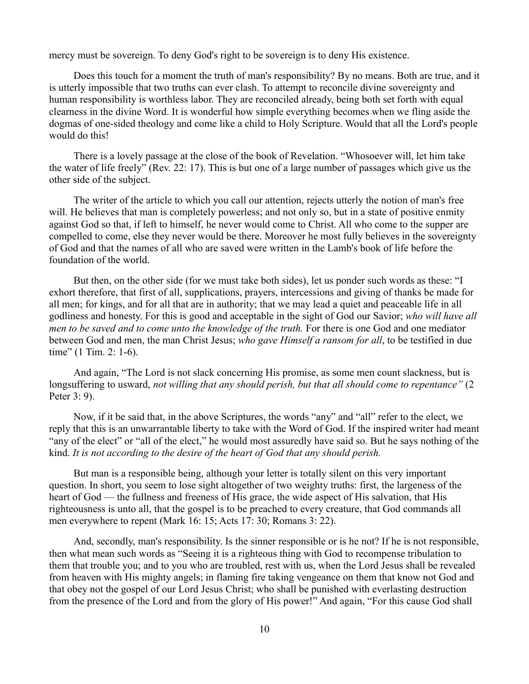mercy must be sovereign. To deny God's right to be sovereign is to deny His existence.

Does this touch for a moment the truth of man's responsibility? By no means. Both are true, and it is utterly impossible that two truths can ever clash. To attempt to reconcile divine sovereignty and human responsibility is worthless labor. They are reconciled already, being both set forth with equal clearness in the divine Word. It is wonderful how simple everything becomes when we fling aside the dogmas of one-sided theology and come like a child to Holy Scripture. Would that all the Lord's people would do this!

There is a lovely passage at the close of the book of Revelation. "Whosoever will, let him take the water of life freely" (Rev. 22: 17). This is but one of a large number of passages which give us the other side of the subject.

The writer of the article to which you call our attention, rejects utterly the notion of man's free will. He believes that man is completely powerless; and not only so, but in a state of positive enmity against God so that, if left to himself, he never would come to Christ. All who come to the supper are compelled to come, else they never would be there. Moreover he most fully believes in the sovereignty of God and that the names of all who are saved were written in the Lamb's book of life before the foundation of the world.

But then, on the other side (for we must take both sides), let us ponder such words as these: "I exhort therefore, that first of all, supplications, prayers, intercessions and giving of thanks be made for all men; for kings, and for all that are in authority; that we may lead a quiet and peaceable life in all godliness and honesty. For this is good and acceptable in the sight of God our Savior; *who will have all men to be saved and to come unto the knowledge of the truth.* For there is one God and one mediator between God and men, the man Christ Jesus; *who gave Himself a ransom for all*, to be testified in due time" (1 Tim. 2: 1-6).

And again, "The Lord is not slack concerning His promise, as some men count slackness, but is longsuffering to usward, *not willing that any should perish, but that all should come to repentance"* (2 Peter 3: 9).

Now, if it be said that, in the above Scriptures, the words "any" and "all" refer to the elect, we reply that this is an unwarrantable liberty to take with the Word of God. If the inspired writer had meant "any of the elect" or "all of the elect," he would most assuredly have said so. But he says nothing of the kind. *It is not according to the desire of the heart of God that any should perish.*

But man is a responsible being, although your letter is totally silent on this very important question. In short, you seem to lose sight altogether of two weighty truths: first, the largeness of the heart of God — the fullness and freeness of His grace, the wide aspect of His salvation, that His righteousness is unto all, that the gospel is to be preached to every creature, that God commands all men everywhere to repent (Mark 16: 15; Acts 17: 30; Romans 3: 22).

And, secondly, man's responsibility. Is the sinner responsible or is he not? If he is not responsible, then what mean such words as "Seeing it is a righteous thing with God to recompense tribulation to them that trouble you; and to you who are troubled, rest with us, when the Lord Jesus shall be revealed from heaven with His mighty angels; in flaming fire taking vengeance on them that know not God and that obey not the gospel of our Lord Jesus Christ; who shall be punished with everlasting destruction from the presence of the Lord and from the glory of His power!" And again, "For this cause God shall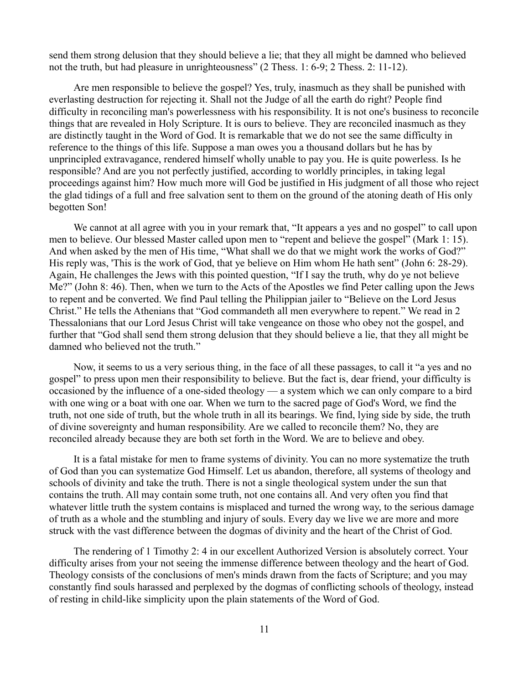send them strong delusion that they should believe a lie; that they all might be damned who believed not the truth, but had pleasure in unrighteousness" (2 Thess. 1: 6-9; 2 Thess. 2: 11-12).

Are men responsible to believe the gospel? Yes, truly, inasmuch as they shall be punished with everlasting destruction for rejecting it. Shall not the Judge of all the earth do right? People find difficulty in reconciling man's powerlessness with his responsibility. It is not one's business to reconcile things that are revealed in Holy Scripture. It is ours to believe. They are reconciled inasmuch as they are distinctly taught in the Word of God. It is remarkable that we do not see the same difficulty in reference to the things of this life. Suppose a man owes you a thousand dollars but he has by unprincipled extravagance, rendered himself wholly unable to pay you. He is quite powerless. Is he responsible? And are you not perfectly justified, according to worldly principles, in taking legal proceedings against him? How much more will God be justified in His judgment of all those who reject the glad tidings of a full and free salvation sent to them on the ground of the atoning death of His only begotten Son!

We cannot at all agree with you in your remark that, "It appears a yes and no gospel" to call upon men to believe. Our blessed Master called upon men to "repent and believe the gospel" (Mark 1: 15). And when asked by the men of His time, "What shall we do that we might work the works of God?" His reply was, 'This is the work of God, that ye believe on Him whom He hath sent" (John 6: 28-29). Again, He challenges the Jews with this pointed question, "If I say the truth, why do ye not believe Me?" (John 8: 46). Then, when we turn to the Acts of the Apostles we find Peter calling upon the Jews to repent and be converted. We find Paul telling the Philippian jailer to "Believe on the Lord Jesus Christ." He tells the Athenians that "God commandeth all men everywhere to repent." We read in 2 Thessalonians that our Lord Jesus Christ will take vengeance on those who obey not the gospel, and further that "God shall send them strong delusion that they should believe a lie, that they all might be damned who believed not the truth."

Now, it seems to us a very serious thing, in the face of all these passages, to call it "a yes and no gospel" to press upon men their responsibility to believe. But the fact is, dear friend, your difficulty is occasioned by the influence of a one-sided theology — a system which we can only compare to a bird with one wing or a boat with one oar. When we turn to the sacred page of God's Word, we find the truth, not one side of truth, but the whole truth in all its bearings. We find, lying side by side, the truth of divine sovereignty and human responsibility. Are we called to reconcile them? No, they are reconciled already because they are both set forth in the Word. We are to believe and obey.

It is a fatal mistake for men to frame systems of divinity. You can no more systematize the truth of God than you can systematize God Himself. Let us abandon, therefore, all systems of theology and schools of divinity and take the truth. There is not a single theological system under the sun that contains the truth. All may contain some truth, not one contains all. And very often you find that whatever little truth the system contains is misplaced and turned the wrong way, to the serious damage of truth as a whole and the stumbling and injury of souls. Every day we live we are more and more struck with the vast difference between the dogmas of divinity and the heart of the Christ of God.

The rendering of 1 Timothy 2: 4 in our excellent Authorized Version is absolutely correct. Your difficulty arises from your not seeing the immense difference between theology and the heart of God. Theology consists of the conclusions of men's minds drawn from the facts of Scripture; and you may constantly find souls harassed and perplexed by the dogmas of conflicting schools of theology, instead of resting in child-like simplicity upon the plain statements of the Word of God.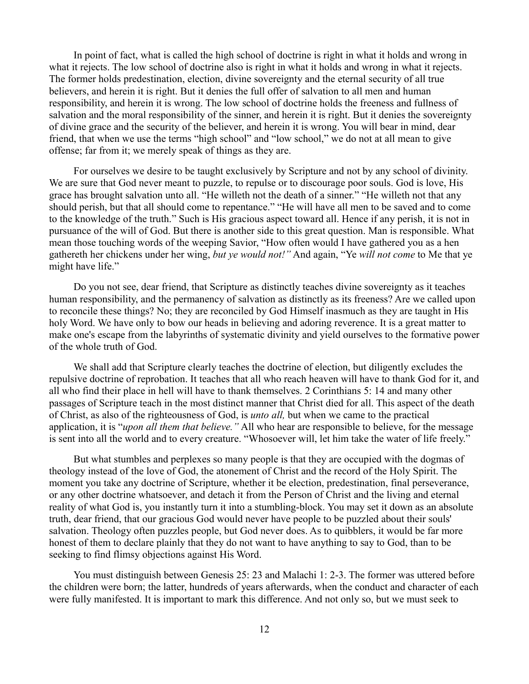In point of fact, what is called the high school of doctrine is right in what it holds and wrong in what it rejects. The low school of doctrine also is right in what it holds and wrong in what it rejects. The former holds predestination, election, divine sovereignty and the eternal security of all true believers, and herein it is right. But it denies the full offer of salvation to all men and human responsibility, and herein it is wrong. The low school of doctrine holds the freeness and fullness of salvation and the moral responsibility of the sinner, and herein it is right. But it denies the sovereignty of divine grace and the security of the believer, and herein it is wrong. You will bear in mind, dear friend, that when we use the terms "high school" and "low school," we do not at all mean to give offense; far from it; we merely speak of things as they are.

For ourselves we desire to be taught exclusively by Scripture and not by any school of divinity. We are sure that God never meant to puzzle, to repulse or to discourage poor souls. God is love, His grace has brought salvation unto all. "He willeth not the death of a sinner." "He willeth not that any should perish, but that all should come to repentance." "He will have all men to be saved and to come to the knowledge of the truth." Such is His gracious aspect toward all. Hence if any perish, it is not in pursuance of the will of God. But there is another side to this great question. Man is responsible. What mean those touching words of the weeping Savior, "How often would I have gathered you as a hen gathereth her chickens under her wing, *but ye would not!"* And again, "Ye *will not come* to Me that ye might have life."

Do you not see, dear friend, that Scripture as distinctly teaches divine sovereignty as it teaches human responsibility, and the permanency of salvation as distinctly as its freeness? Are we called upon to reconcile these things? No; they are reconciled by God Himself inasmuch as they are taught in His holy Word. We have only to bow our heads in believing and adoring reverence. It is a great matter to make one's escape from the labyrinths of systematic divinity and yield ourselves to the formative power of the whole truth of God.

We shall add that Scripture clearly teaches the doctrine of election, but diligently excludes the repulsive doctrine of reprobation. It teaches that all who reach heaven will have to thank God for it, and all who find their place in hell will have to thank themselves. 2 Corinthians 5: 14 and many other passages of Scripture teach in the most distinct manner that Christ died for all. This aspect of the death of Christ, as also of the righteousness of God, is *unto all,* but when we came to the practical application, it is "*upon all them that believe."* All who hear are responsible to believe, for the message is sent into all the world and to every creature. "Whosoever will, let him take the water of life freely."

But what stumbles and perplexes so many people is that they are occupied with the dogmas of theology instead of the love of God, the atonement of Christ and the record of the Holy Spirit. The moment you take any doctrine of Scripture, whether it be election, predestination, final perseverance, or any other doctrine whatsoever, and detach it from the Person of Christ and the living and eternal reality of what God is, you instantly turn it into a stumbling-block. You may set it down as an absolute truth, dear friend, that our gracious God would never have people to be puzzled about their souls' salvation. Theology often puzzles people, but God never does. As to quibblers, it would be far more honest of them to declare plainly that they do not want to have anything to say to God, than to be seeking to find flimsy objections against His Word.

You must distinguish between Genesis 25: 23 and Malachi 1: 2-3. The former was uttered before the children were born; the latter, hundreds of years afterwards, when the conduct and character of each were fully manifested. It is important to mark this difference. And not only so, but we must seek to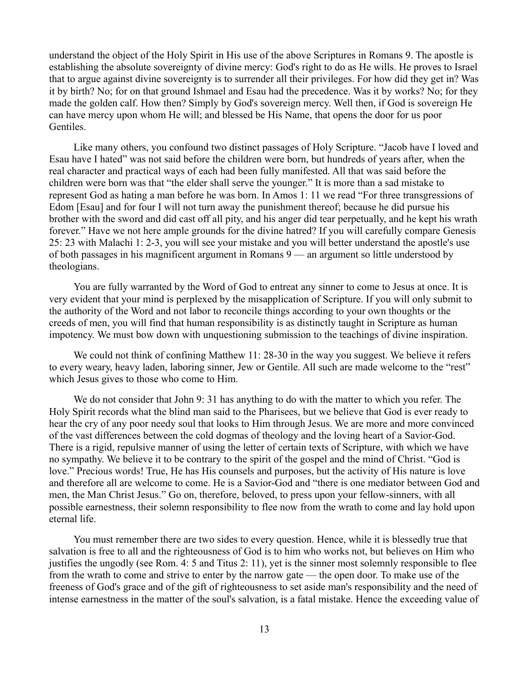understand the object of the Holy Spirit in His use of the above Scriptures in Romans 9. The apostle is establishing the absolute sovereignty of divine mercy: God's right to do as He wills. He proves to Israel that to argue against divine sovereignty is to surrender all their privileges. For how did they get in? Was it by birth? No; for on that ground Ishmael and Esau had the precedence. Was it by works? No; for they made the golden calf. How then? Simply by God's sovereign mercy. Well then, if God is sovereign He can have mercy upon whom He will; and blessed be His Name, that opens the door for us poor Gentiles.

Like many others, you confound two distinct passages of Holy Scripture. "Jacob have I loved and Esau have I hated" was not said before the children were born, but hundreds of years after, when the real character and practical ways of each had been fully manifested. All that was said before the children were born was that "the elder shall serve the younger." It is more than a sad mistake to represent God as hating a man before he was born. In Amos 1: 11 we read "For three transgressions of Edom [Esau] and for four I will not turn away the punishment thereof; because he did pursue his brother with the sword and did cast off all pity, and his anger did tear perpetually, and he kept his wrath forever." Have we not here ample grounds for the divine hatred? If you will carefully compare Genesis 25: 23 with Malachi 1: 2-3, you will see your mistake and you will better understand the apostle's use of both passages in his magnificent argument in Romans 9 — an argument so little understood by theologians.

You are fully warranted by the Word of God to entreat any sinner to come to Jesus at once. It is very evident that your mind is perplexed by the misapplication of Scripture. If you will only submit to the authority of the Word and not labor to reconcile things according to your own thoughts or the creeds of men, you will find that human responsibility is as distinctly taught in Scripture as human impotency. We must bow down with unquestioning submission to the teachings of divine inspiration.

We could not think of confining Matthew 11: 28-30 in the way you suggest. We believe it refers to every weary, heavy laden, laboring sinner, Jew or Gentile. All such are made welcome to the "rest" which Jesus gives to those who come to Him.

We do not consider that John 9: 31 has anything to do with the matter to which you refer. The Holy Spirit records what the blind man said to the Pharisees, but we believe that God is ever ready to hear the cry of any poor needy soul that looks to Him through Jesus. We are more and more convinced of the vast differences between the cold dogmas of theology and the loving heart of a Savior-God. There is a rigid, repulsive manner of using the letter of certain texts of Scripture, with which we have no sympathy. We believe it to be contrary to the spirit of the gospel and the mind of Christ. "God is love." Precious words! True, He has His counsels and purposes, but the activity of His nature is love and therefore all are welcome to come. He is a Savior-God and "there is one mediator between God and men, the Man Christ Jesus." Go on, therefore, beloved, to press upon your fellow-sinners, with all possible earnestness, their solemn responsibility to flee now from the wrath to come and lay hold upon eternal life.

You must remember there are two sides to every question. Hence, while it is blessedly true that salvation is free to all and the righteousness of God is to him who works not, but believes on Him who justifies the ungodly (see Rom. 4: 5 and Titus 2: 11), yet is the sinner most solemnly responsible to flee from the wrath to come and strive to enter by the narrow gate — the open door. To make use of the freeness of God's grace and of the gift of righteousness to set aside man's responsibility and the need of intense earnestness in the matter of the soul's salvation, is a fatal mistake. Hence the exceeding value of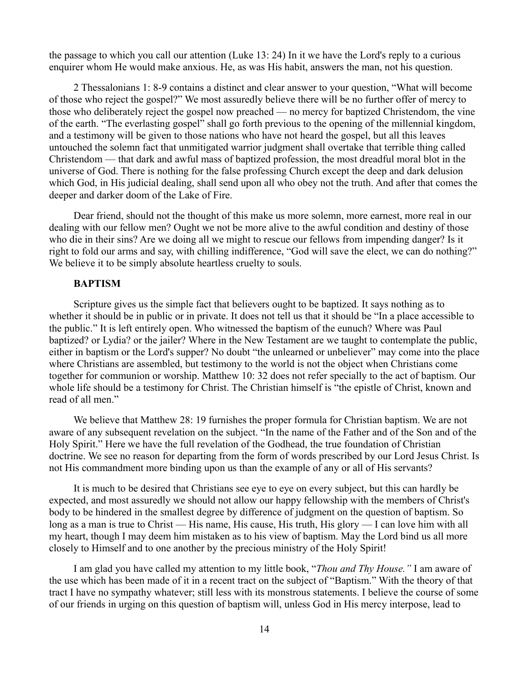the passage to which you call our attention (Luke 13: 24) In it we have the Lord's reply to a curious enquirer whom He would make anxious. He, as was His habit, answers the man, not his question.

2 Thessalonians 1: 8-9 contains a distinct and clear answer to your question, "What will become of those who reject the gospel?" We most assuredly believe there will be no further offer of mercy to those who deliberately reject the gospel now preached — no mercy for baptized Christendom, the vine of the earth. "The everlasting gospel" shall go forth previous to the opening of the millennial kingdom, and a testimony will be given to those nations who have not heard the gospel, but all this leaves untouched the solemn fact that unmitigated warrior judgment shall overtake that terrible thing called Christendom — that dark and awful mass of baptized profession, the most dreadful moral blot in the universe of God. There is nothing for the false professing Church except the deep and dark delusion which God, in His judicial dealing, shall send upon all who obey not the truth. And after that comes the deeper and darker doom of the Lake of Fire.

Dear friend, should not the thought of this make us more solemn, more earnest, more real in our dealing with our fellow men? Ought we not be more alive to the awful condition and destiny of those who die in their sins? Are we doing all we might to rescue our fellows from impending danger? Is it right to fold our arms and say, with chilling indifference, "God will save the elect, we can do nothing?" We believe it to be simply absolute heartless cruelty to souls.

### **BAPTISM**

Scripture gives us the simple fact that believers ought to be baptized. It says nothing as to whether it should be in public or in private. It does not tell us that it should be "In a place accessible to the public." It is left entirely open. Who witnessed the baptism of the eunuch? Where was Paul baptized? or Lydia? or the jailer? Where in the New Testament are we taught to contemplate the public, either in baptism or the Lord's supper? No doubt "the unlearned or unbeliever" may come into the place where Christians are assembled, but testimony to the world is not the object when Christians come together for communion or worship. Matthew 10: 32 does not refer specially to the act of baptism. Our whole life should be a testimony for Christ. The Christian himself is "the epistle of Christ, known and read of all men."

We believe that Matthew 28: 19 furnishes the proper formula for Christian baptism. We are not aware of any subsequent revelation on the subject. "In the name of the Father and of the Son and of the Holy Spirit." Here we have the full revelation of the Godhead, the true foundation of Christian doctrine. We see no reason for departing from the form of words prescribed by our Lord Jesus Christ. Is not His commandment more binding upon us than the example of any or all of His servants?

It is much to be desired that Christians see eye to eye on every subject, but this can hardly be expected, and most assuredly we should not allow our happy fellowship with the members of Christ's body to be hindered in the smallest degree by difference of judgment on the question of baptism. So long as a man is true to Christ — His name, His cause, His truth, His glory — I can love him with all my heart, though I may deem him mistaken as to his view of baptism. May the Lord bind us all more closely to Himself and to one another by the precious ministry of the Holy Spirit!

I am glad you have called my attention to my little book, "*Thou and Thy House."* I am aware of the use which has been made of it in a recent tract on the subject of "Baptism." With the theory of that tract I have no sympathy whatever; still less with its monstrous statements. I believe the course of some of our friends in urging on this question of baptism will, unless God in His mercy interpose, lead to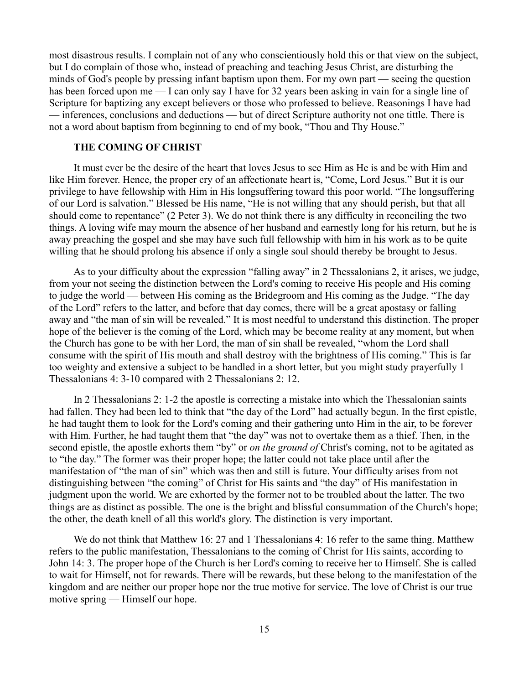most disastrous results. I complain not of any who conscientiously hold this or that view on the subject, but I do complain of those who, instead of preaching and teaching Jesus Christ, are disturbing the minds of God's people by pressing infant baptism upon them. For my own part — seeing the question has been forced upon me — I can only say I have for 32 years been asking in vain for a single line of Scripture for baptizing any except believers or those who professed to believe. Reasonings I have had — inferences, conclusions and deductions — but of direct Scripture authority not one tittle. There is not a word about baptism from beginning to end of my book, "Thou and Thy House."

## **THE COMING OF CHRIST**

It must ever be the desire of the heart that loves Jesus to see Him as He is and be with Him and like Him forever. Hence, the proper cry of an affectionate heart is, "Come, Lord Jesus." But it is our privilege to have fellowship with Him in His longsuffering toward this poor world. "The longsuffering of our Lord is salvation." Blessed be His name, "He is not willing that any should perish, but that all should come to repentance" (2 Peter 3). We do not think there is any difficulty in reconciling the two things. A loving wife may mourn the absence of her husband and earnestly long for his return, but he is away preaching the gospel and she may have such full fellowship with him in his work as to be quite willing that he should prolong his absence if only a single soul should thereby be brought to Jesus.

As to your difficulty about the expression "falling away" in 2 Thessalonians 2, it arises, we judge, from your not seeing the distinction between the Lord's coming to receive His people and His coming to judge the world — between His coming as the Bridegroom and His coming as the Judge. "The day of the Lord" refers to the latter, and before that day comes, there will be a great apostasy or falling away and "the man of sin will be revealed." It is most needful to understand this distinction. The proper hope of the believer is the coming of the Lord, which may be become reality at any moment, but when the Church has gone to be with her Lord, the man of sin shall be revealed, "whom the Lord shall consume with the spirit of His mouth and shall destroy with the brightness of His coming." This is far too weighty and extensive a subject to be handled in a short letter, but you might study prayerfully 1 Thessalonians 4: 3-10 compared with 2 Thessalonians 2: 12.

In 2 Thessalonians 2: 1-2 the apostle is correcting a mistake into which the Thessalonian saints had fallen. They had been led to think that "the day of the Lord" had actually begun. In the first epistle, he had taught them to look for the Lord's coming and their gathering unto Him in the air, to be forever with Him. Further, he had taught them that "the day" was not to overtake them as a thief. Then, in the second epistle, the apostle exhorts them "by" or *on the ground of* Christ's coming, not to be agitated as to "the day." The former was their proper hope; the latter could not take place until after the manifestation of "the man of sin" which was then and still is future. Your difficulty arises from not distinguishing between "the coming" of Christ for His saints and "the day" of His manifestation in judgment upon the world. We are exhorted by the former not to be troubled about the latter. The two things are as distinct as possible. The one is the bright and blissful consummation of the Church's hope; the other, the death knell of all this world's glory. The distinction is very important.

We do not think that Matthew 16: 27 and 1 Thessalonians 4: 16 refer to the same thing. Matthew refers to the public manifestation, Thessalonians to the coming of Christ for His saints, according to John 14: 3. The proper hope of the Church is her Lord's coming to receive her to Himself. She is called to wait for Himself, not for rewards. There will be rewards, but these belong to the manifestation of the kingdom and are neither our proper hope nor the true motive for service. The love of Christ is our true motive spring — Himself our hope.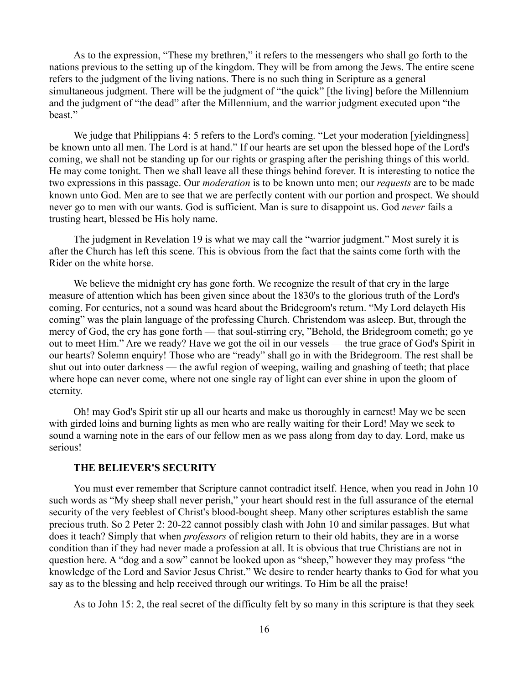As to the expression, "These my brethren," it refers to the messengers who shall go forth to the nations previous to the setting up of the kingdom. They will be from among the Jews. The entire scene refers to the judgment of the living nations. There is no such thing in Scripture as a general simultaneous judgment. There will be the judgment of "the quick" [the living] before the Millennium and the judgment of "the dead" after the Millennium, and the warrior judgment executed upon "the beast."

We judge that Philippians 4: 5 refers to the Lord's coming. "Let your moderation [yieldingness] be known unto all men. The Lord is at hand." If our hearts are set upon the blessed hope of the Lord's coming, we shall not be standing up for our rights or grasping after the perishing things of this world. He may come tonight. Then we shall leave all these things behind forever. It is interesting to notice the two expressions in this passage. Our *moderation* is to be known unto men; our *requests* are to be made known unto God. Men are to see that we are perfectly content with our portion and prospect. We should never go to men with our wants. God is sufficient. Man is sure to disappoint us. God *never* fails a trusting heart, blessed be His holy name.

The judgment in Revelation 19 is what we may call the "warrior judgment." Most surely it is after the Church has left this scene. This is obvious from the fact that the saints come forth with the Rider on the white horse.

We believe the midnight cry has gone forth. We recognize the result of that cry in the large measure of attention which has been given since about the 1830's to the glorious truth of the Lord's coming. For centuries, not a sound was heard about the Bridegroom's return. "My Lord delayeth His coming" was the plain language of the professing Church. Christendom was asleep. But, through the mercy of God, the cry has gone forth — that soul-stirring cry, "Behold, the Bridegroom cometh; go ye out to meet Him." Are we ready? Have we got the oil in our vessels — the true grace of God's Spirit in our hearts? Solemn enquiry! Those who are "ready" shall go in with the Bridegroom. The rest shall be shut out into outer darkness — the awful region of weeping, wailing and gnashing of teeth; that place where hope can never come, where not one single ray of light can ever shine in upon the gloom of eternity.

Oh! may God's Spirit stir up all our hearts and make us thoroughly in earnest! May we be seen with girded loins and burning lights as men who are really waiting for their Lord! May we seek to sound a warning note in the ears of our fellow men as we pass along from day to day. Lord, make us serious!

## **THE BELIEVER'S SECURITY**

You must ever remember that Scripture cannot contradict itself. Hence, when you read in John 10 such words as "My sheep shall never perish," your heart should rest in the full assurance of the eternal security of the very feeblest of Christ's blood-bought sheep. Many other scriptures establish the same precious truth. So 2 Peter 2: 20-22 cannot possibly clash with John 10 and similar passages. But what does it teach? Simply that when *professors* of religion return to their old habits, they are in a worse condition than if they had never made a profession at all. It is obvious that true Christians are not in question here. A "dog and a sow" cannot be looked upon as "sheep," however they may profess "the knowledge of the Lord and Savior Jesus Christ." We desire to render hearty thanks to God for what you say as to the blessing and help received through our writings. To Him be all the praise!

As to John 15: 2, the real secret of the difficulty felt by so many in this scripture is that they seek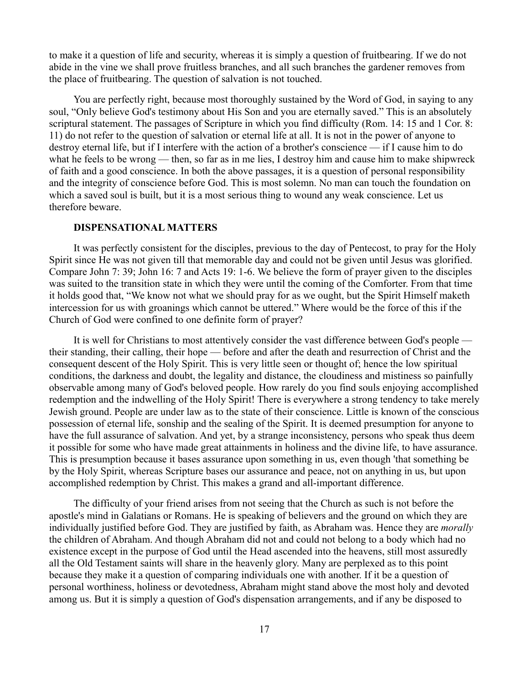to make it a question of life and security, whereas it is simply a question of fruitbearing. If we do not abide in the vine we shall prove fruitless branches, and all such branches the gardener removes from the place of fruitbearing. The question of salvation is not touched.

You are perfectly right, because most thoroughly sustained by the Word of God, in saying to any soul, "Only believe God's testimony about His Son and you are eternally saved." This is an absolutely scriptural statement. The passages of Scripture in which you find difficulty (Rom. 14: 15 and 1 Cor. 8: 11) do not refer to the question of salvation or eternal life at all. It is not in the power of anyone to destroy eternal life, but if I interfere with the action of a brother's conscience — if I cause him to do what he feels to be wrong — then, so far as in me lies, I destroy him and cause him to make shipwreck of faith and a good conscience. In both the above passages, it is a question of personal responsibility and the integrity of conscience before God. This is most solemn. No man can touch the foundation on which a saved soul is built, but it is a most serious thing to wound any weak conscience. Let us therefore beware.

### **DISPENSATIONAL MATTERS**

It was perfectly consistent for the disciples, previous to the day of Pentecost, to pray for the Holy Spirit since He was not given till that memorable day and could not be given until Jesus was glorified. Compare John 7: 39; John 16: 7 and Acts 19: 1-6. We believe the form of prayer given to the disciples was suited to the transition state in which they were until the coming of the Comforter. From that time it holds good that, "We know not what we should pray for as we ought, but the Spirit Himself maketh intercession for us with groanings which cannot be uttered." Where would be the force of this if the Church of God were confined to one definite form of prayer?

It is well for Christians to most attentively consider the vast difference between God's people their standing, their calling, their hope — before and after the death and resurrection of Christ and the consequent descent of the Holy Spirit. This is very little seen or thought of; hence the low spiritual conditions, the darkness and doubt, the legality and distance, the cloudiness and mistiness so painfully observable among many of God's beloved people. How rarely do you find souls enjoying accomplished redemption and the indwelling of the Holy Spirit! There is everywhere a strong tendency to take merely Jewish ground. People are under law as to the state of their conscience. Little is known of the conscious possession of eternal life, sonship and the sealing of the Spirit. It is deemed presumption for anyone to have the full assurance of salvation. And yet, by a strange inconsistency, persons who speak thus deem it possible for some who have made great attainments in holiness and the divine life, to have assurance. This is presumption because it bases assurance upon something in us, even though 'that something be by the Holy Spirit, whereas Scripture bases our assurance and peace, not on anything in us, but upon accomplished redemption by Christ. This makes a grand and all-important difference.

The difficulty of your friend arises from not seeing that the Church as such is not before the apostle's mind in Galatians or Romans. He is speaking of believers and the ground on which they are individually justified before God. They are justified by faith, as Abraham was. Hence they are *morally* the children of Abraham. And though Abraham did not and could not belong to a body which had no existence except in the purpose of God until the Head ascended into the heavens, still most assuredly all the Old Testament saints will share in the heavenly glory. Many are perplexed as to this point because they make it a question of comparing individuals one with another. If it be a question of personal worthiness, holiness or devotedness, Abraham might stand above the most holy and devoted among us. But it is simply a question of God's dispensation arrangements, and if any be disposed to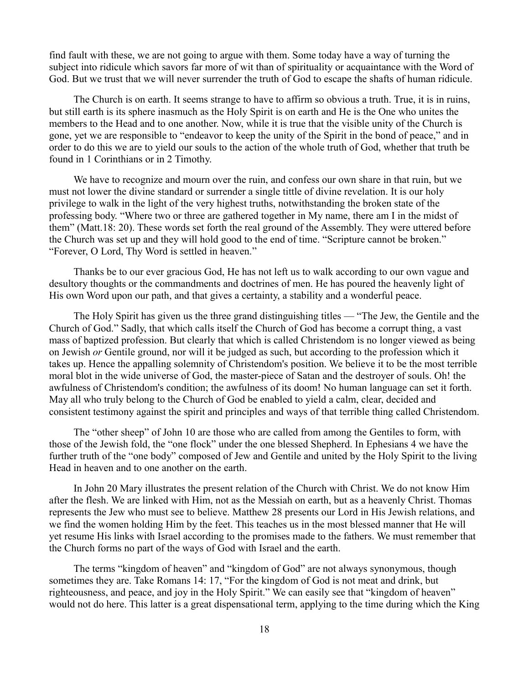find fault with these, we are not going to argue with them. Some today have a way of turning the subject into ridicule which savors far more of wit than of spirituality or acquaintance with the Word of God. But we trust that we will never surrender the truth of God to escape the shafts of human ridicule.

The Church is on earth. It seems strange to have to affirm so obvious a truth. True, it is in ruins, but still earth is its sphere inasmuch as the Holy Spirit is on earth and He is the One who unites the members to the Head and to one another. Now, while it is true that the visible unity of the Church is gone, yet we are responsible to "endeavor to keep the unity of the Spirit in the bond of peace," and in order to do this we are to yield our souls to the action of the whole truth of God, whether that truth be found in 1 Corinthians or in 2 Timothy.

We have to recognize and mourn over the ruin, and confess our own share in that ruin, but we must not lower the divine standard or surrender a single tittle of divine revelation. It is our holy privilege to walk in the light of the very highest truths, notwithstanding the broken state of the professing body. "Where two or three are gathered together in My name, there am I in the midst of them" (Matt.18: 20). These words set forth the real ground of the Assembly. They were uttered before the Church was set up and they will hold good to the end of time. "Scripture cannot be broken." "Forever, O Lord, Thy Word is settled in heaven."

Thanks be to our ever gracious God, He has not left us to walk according to our own vague and desultory thoughts or the commandments and doctrines of men. He has poured the heavenly light of His own Word upon our path, and that gives a certainty, a stability and a wonderful peace.

The Holy Spirit has given us the three grand distinguishing titles — "The Jew, the Gentile and the Church of God." Sadly, that which calls itself the Church of God has become a corrupt thing, a vast mass of baptized profession. But clearly that which is called Christendom is no longer viewed as being on Jewish *or* Gentile ground, nor will it be judged as such, but according to the profession which it takes up. Hence the appalling solemnity of Christendom's position. We believe it to be the most terrible moral blot in the wide universe of God, the master-piece of Satan and the destroyer of souls. Oh! the awfulness of Christendom's condition; the awfulness of its doom! No human language can set it forth. May all who truly belong to the Church of God be enabled to yield a calm, clear, decided and consistent testimony against the spirit and principles and ways of that terrible thing called Christendom.

The "other sheep" of John 10 are those who are called from among the Gentiles to form, with those of the Jewish fold, the "one flock" under the one blessed Shepherd. In Ephesians 4 we have the further truth of the "one body" composed of Jew and Gentile and united by the Holy Spirit to the living Head in heaven and to one another on the earth.

In John 20 Mary illustrates the present relation of the Church with Christ. We do not know Him after the flesh. We are linked with Him, not as the Messiah on earth, but as a heavenly Christ. Thomas represents the Jew who must see to believe. Matthew 28 presents our Lord in His Jewish relations, and we find the women holding Him by the feet. This teaches us in the most blessed manner that He will yet resume His links with Israel according to the promises made to the fathers. We must remember that the Church forms no part of the ways of God with Israel and the earth.

The terms "kingdom of heaven" and "kingdom of God" are not always synonymous, though sometimes they are. Take Romans 14: 17, "For the kingdom of God is not meat and drink, but righteousness, and peace, and joy in the Holy Spirit." We can easily see that "kingdom of heaven" would not do here. This latter is a great dispensational term, applying to the time during which the King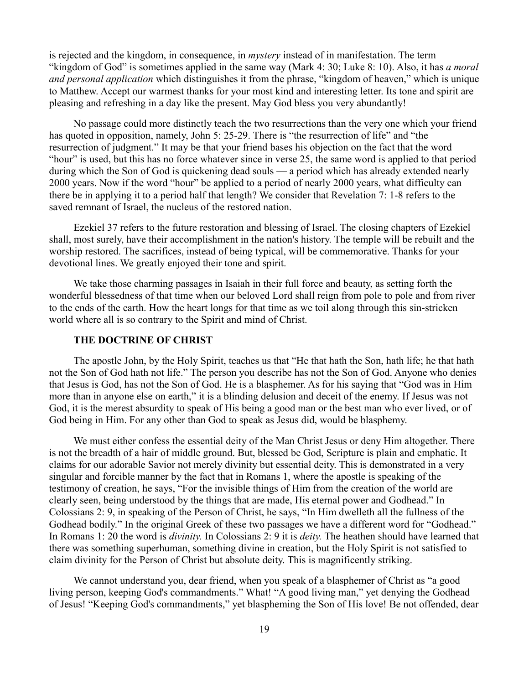is rejected and the kingdom, in consequence, in *mystery* instead of in manifestation. The term "kingdom of God" is sometimes applied in the same way (Mark 4: 30; Luke 8: 10). Also, it has *a moral and personal application* which distinguishes it from the phrase, "kingdom of heaven," which is unique to Matthew. Accept our warmest thanks for your most kind and interesting letter. Its tone and spirit are pleasing and refreshing in a day like the present. May God bless you very abundantly!

No passage could more distinctly teach the two resurrections than the very one which your friend has quoted in opposition, namely, John 5: 25-29. There is "the resurrection of life" and "the resurrection of judgment." It may be that your friend bases his objection on the fact that the word "hour" is used, but this has no force whatever since in verse 25, the same word is applied to that period during which the Son of God is quickening dead souls — a period which has already extended nearly 2000 years. Now if the word "hour" be applied to a period of nearly 2000 years, what difficulty can there be in applying it to a period half that length? We consider that Revelation 7: 1-8 refers to the saved remnant of Israel, the nucleus of the restored nation.

Ezekiel 37 refers to the future restoration and blessing of Israel. The closing chapters of Ezekiel shall, most surely, have their accomplishment in the nation's history. The temple will be rebuilt and the worship restored. The sacrifices, instead of being typical, will be commemorative. Thanks for your devotional lines. We greatly enjoyed their tone and spirit.

We take those charming passages in Isaiah in their full force and beauty, as setting forth the wonderful blessedness of that time when our beloved Lord shall reign from pole to pole and from river to the ends of the earth. How the heart longs for that time as we toil along through this sin-stricken world where all is so contrary to the Spirit and mind of Christ.

## **THE DOCTRINE OF CHRIST**

The apostle John, by the Holy Spirit, teaches us that "He that hath the Son, hath life; he that hath not the Son of God hath not life." The person you describe has not the Son of God. Anyone who denies that Jesus is God, has not the Son of God. He is a blasphemer. As for his saying that "God was in Him more than in anyone else on earth," it is a blinding delusion and deceit of the enemy. If Jesus was not God, it is the merest absurdity to speak of His being a good man or the best man who ever lived, or of God being in Him. For any other than God to speak as Jesus did, would be blasphemy.

We must either confess the essential deity of the Man Christ Jesus or deny Him altogether. There is not the breadth of a hair of middle ground. But, blessed be God, Scripture is plain and emphatic. It claims for our adorable Savior not merely divinity but essential deity. This is demonstrated in a very singular and forcible manner by the fact that in Romans 1, where the apostle is speaking of the testimony of creation, he says, "For the invisible things of Him from the creation of the world are clearly seen, being understood by the things that are made, His eternal power and Godhead." In Colossians 2: 9, in speaking of the Person of Christ, he says, "In Him dwelleth all the fullness of the Godhead bodily." In the original Greek of these two passages we have a different word for "Godhead." In Romans 1: 20 the word is *divinity.* In Colossians 2: 9 it is *deity.* The heathen should have learned that there was something superhuman, something divine in creation, but the Holy Spirit is not satisfied to claim divinity for the Person of Christ but absolute deity. This is magnificently striking.

We cannot understand you, dear friend, when you speak of a blasphemer of Christ as "a good living person, keeping God's commandments." What! "A good living man," yet denying the Godhead of Jesus! "Keeping God's commandments," yet blaspheming the Son of His love! Be not offended, dear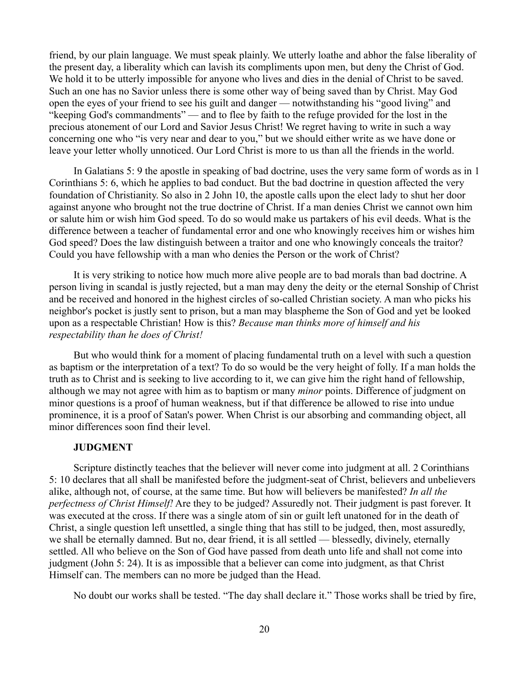friend, by our plain language. We must speak plainly. We utterly loathe and abhor the false liberality of the present day, a liberality which can lavish its compliments upon men, but deny the Christ of God. We hold it to be utterly impossible for anyone who lives and dies in the denial of Christ to be saved. Such an one has no Savior unless there is some other way of being saved than by Christ. May God open the eyes of your friend to see his guilt and danger — notwithstanding his "good living" and "keeping God's commandments" — and to flee by faith to the refuge provided for the lost in the precious atonement of our Lord and Savior Jesus Christ! We regret having to write in such a way concerning one who "is very near and dear to you," but we should either write as we have done or leave your letter wholly unnoticed. Our Lord Christ is more to us than all the friends in the world.

In Galatians 5: 9 the apostle in speaking of bad doctrine, uses the very same form of words as in 1 Corinthians 5: 6, which he applies to bad conduct. But the bad doctrine in question affected the very foundation of Christianity. So also in 2 John 10, the apostle calls upon the elect lady to shut her door against anyone who brought not the true doctrine of Christ. If a man denies Christ we cannot own him or salute him or wish him God speed. To do so would make us partakers of his evil deeds. What is the difference between a teacher of fundamental error and one who knowingly receives him or wishes him God speed? Does the law distinguish between a traitor and one who knowingly conceals the traitor? Could you have fellowship with a man who denies the Person or the work of Christ?

It is very striking to notice how much more alive people are to bad morals than bad doctrine. A person living in scandal is justly rejected, but a man may deny the deity or the eternal Sonship of Christ and be received and honored in the highest circles of so-called Christian society. A man who picks his neighbor's pocket is justly sent to prison, but a man may blaspheme the Son of God and yet be looked upon as a respectable Christian! How is this? *Because man thinks more of himself and his respectability than he does of Christ!*

But who would think for a moment of placing fundamental truth on a level with such a question as baptism or the interpretation of a text? To do so would be the very height of folly. If a man holds the truth as to Christ and is seeking to live according to it, we can give him the right hand of fellowship, although we may not agree with him as to baptism or many *minor* points. Difference of judgment on minor questions is a proof of human weakness, but if that difference be allowed to rise into undue prominence, it is a proof of Satan's power. When Christ is our absorbing and commanding object, all minor differences soon find their level.

#### **JUDGMENT**

Scripture distinctly teaches that the believer will never come into judgment at all. 2 Corinthians 5: 10 declares that all shall be manifested before the judgment-seat of Christ, believers and unbelievers alike, although not, of course, at the same time. But how will believers be manifested? *In all the perfectness of Christ Himself!* Are they to be judged? Assuredly not. Their judgment is past forever. It was executed at the cross. If there was a single atom of sin or guilt left unatoned for in the death of Christ, a single question left unsettled, a single thing that has still to be judged, then, most assuredly, we shall be eternally damned. But no, dear friend, it is all settled — blessedly, divinely, eternally settled. All who believe on the Son of God have passed from death unto life and shall not come into judgment (John 5: 24). It is as impossible that a believer can come into judgment, as that Christ Himself can. The members can no more be judged than the Head.

No doubt our works shall be tested. "The day shall declare it." Those works shall be tried by fire,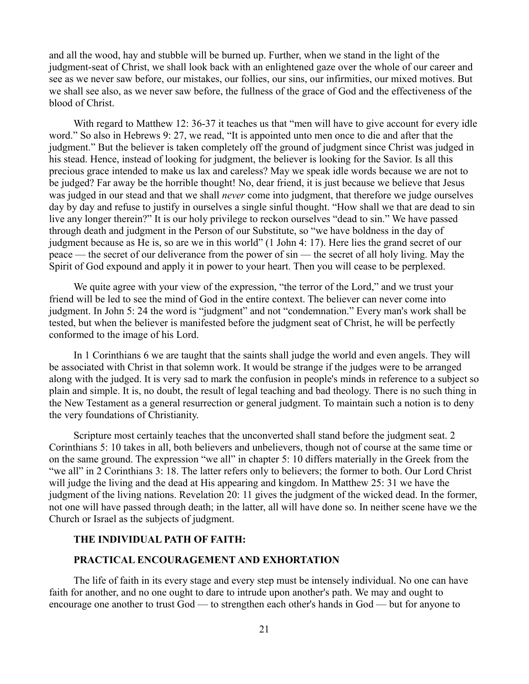and all the wood, hay and stubble will be burned up. Further, when we stand in the light of the judgment-seat of Christ, we shall look back with an enlightened gaze over the whole of our career and see as we never saw before, our mistakes, our follies, our sins, our infirmities, our mixed motives. But we shall see also, as we never saw before, the fullness of the grace of God and the effectiveness of the blood of Christ.

With regard to Matthew 12: 36-37 it teaches us that "men will have to give account for every idle word." So also in Hebrews 9: 27, we read, "It is appointed unto men once to die and after that the judgment." But the believer is taken completely off the ground of judgment since Christ was judged in his stead. Hence, instead of looking for judgment, the believer is looking for the Savior. Is all this precious grace intended to make us lax and careless? May we speak idle words because we are not to be judged? Far away be the horrible thought! No, dear friend, it is just because we believe that Jesus was judged in our stead and that we shall *never* come into judgment, that therefore we judge ourselves day by day and refuse to justify in ourselves a single sinful thought. "How shall we that are dead to sin live any longer therein?" It is our holy privilege to reckon ourselves "dead to sin." We have passed through death and judgment in the Person of our Substitute, so "we have boldness in the day of judgment because as He is, so are we in this world" (1 John 4: 17). Here lies the grand secret of our peace — the secret of our deliverance from the power of sin — the secret of all holy living. May the Spirit of God expound and apply it in power to your heart. Then you will cease to be perplexed.

We quite agree with your view of the expression, "the terror of the Lord," and we trust your friend will be led to see the mind of God in the entire context. The believer can never come into judgment. In John 5: 24 the word is "judgment" and not "condemnation." Every man's work shall be tested, but when the believer is manifested before the judgment seat of Christ, he will be perfectly conformed to the image of his Lord.

In 1 Corinthians 6 we are taught that the saints shall judge the world and even angels. They will be associated with Christ in that solemn work. It would be strange if the judges were to be arranged along with the judged. It is very sad to mark the confusion in people's minds in reference to a subject so plain and simple. It is, no doubt, the result of legal teaching and bad theology. There is no such thing in the New Testament as a general resurrection or general judgment. To maintain such a notion is to deny the very foundations of Christianity.

Scripture most certainly teaches that the unconverted shall stand before the judgment seat. 2 Corinthians 5: 10 takes in all, both believers and unbelievers, though not of course at the same time or on the same ground. The expression "we all" in chapter 5: 10 differs materially in the Greek from the "we all" in 2 Corinthians 3: 18. The latter refers only to believers; the former to both. Our Lord Christ will judge the living and the dead at His appearing and kingdom. In Matthew 25: 31 we have the judgment of the living nations. Revelation 20: 11 gives the judgment of the wicked dead. In the former, not one will have passed through death; in the latter, all will have done so. In neither scene have we the Church or Israel as the subjects of judgment.

# **THE INDIVIDUAL PATH OF FAITH:**

### **PRACTICAL ENCOURAGEMENT AND EXHORTATION**

The life of faith in its every stage and every step must be intensely individual. No one can have faith for another, and no one ought to dare to intrude upon another's path. We may and ought to encourage one another to trust God — to strengthen each other's hands in God — but for anyone to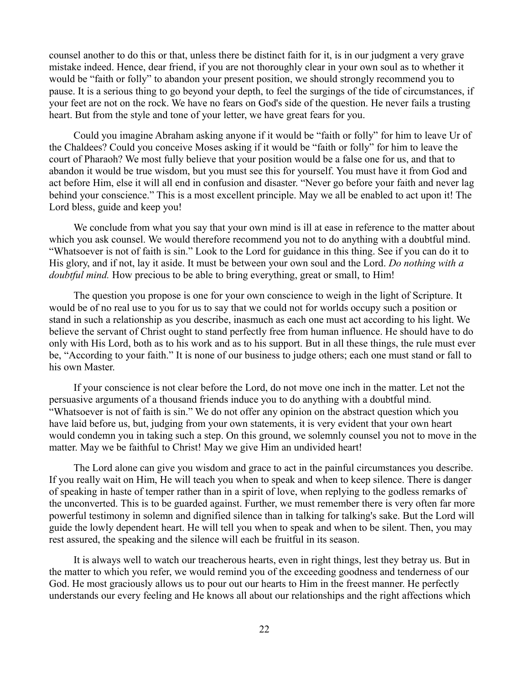counsel another to do this or that, unless there be distinct faith for it, is in our judgment a very grave mistake indeed. Hence, dear friend, if you are not thoroughly clear in your own soul as to whether it would be "faith or folly" to abandon your present position, we should strongly recommend you to pause. It is a serious thing to go beyond your depth, to feel the surgings of the tide of circumstances, if your feet are not on the rock. We have no fears on God's side of the question. He never fails a trusting heart. But from the style and tone of your letter, we have great fears for you.

Could you imagine Abraham asking anyone if it would be "faith or folly" for him to leave Ur of the Chaldees? Could you conceive Moses asking if it would be "faith or folly" for him to leave the court of Pharaoh? We most fully believe that your position would be a false one for us, and that to abandon it would be true wisdom, but you must see this for yourself. You must have it from God and act before Him, else it will all end in confusion and disaster. "Never go before your faith and never lag behind your conscience." This is a most excellent principle. May we all be enabled to act upon it! The Lord bless, guide and keep you!

We conclude from what you say that your own mind is ill at ease in reference to the matter about which you ask counsel. We would therefore recommend you not to do anything with a doubtful mind. "Whatsoever is not of faith is sin." Look to the Lord for guidance in this thing. See if you can do it to His glory, and if not, lay it aside. It must be between your own soul and the Lord. *Do nothing with a doubtful mind.* How precious to be able to bring everything, great or small, to Him!

The question you propose is one for your own conscience to weigh in the light of Scripture. It would be of no real use to you for us to say that we could not for worlds occupy such a position or stand in such a relationship as you describe, inasmuch as each one must act according to his light. We believe the servant of Christ ought to stand perfectly free from human influence. He should have to do only with His Lord, both as to his work and as to his support. But in all these things, the rule must ever be, "According to your faith." It is none of our business to judge others; each one must stand or fall to his own Master.

If your conscience is not clear before the Lord, do not move one inch in the matter. Let not the persuasive arguments of a thousand friends induce you to do anything with a doubtful mind. "Whatsoever is not of faith is sin." We do not offer any opinion on the abstract question which you have laid before us, but, judging from your own statements, it is very evident that your own heart would condemn you in taking such a step. On this ground, we solemnly counsel you not to move in the matter. May we be faithful to Christ! May we give Him an undivided heart!

The Lord alone can give you wisdom and grace to act in the painful circumstances you describe. If you really wait on Him, He will teach you when to speak and when to keep silence. There is danger of speaking in haste of temper rather than in a spirit of love, when replying to the godless remarks of the unconverted. This is to be guarded against. Further, we must remember there is very often far more powerful testimony in solemn and dignified silence than in talking for talking's sake. But the Lord will guide the lowly dependent heart. He will tell you when to speak and when to be silent. Then, you may rest assured, the speaking and the silence will each be fruitful in its season.

It is always well to watch our treacherous hearts, even in right things, lest they betray us. But in the matter to which you refer, we would remind you of the exceeding goodness and tenderness of our God. He most graciously allows us to pour out our hearts to Him in the freest manner. He perfectly understands our every feeling and He knows all about our relationships and the right affections which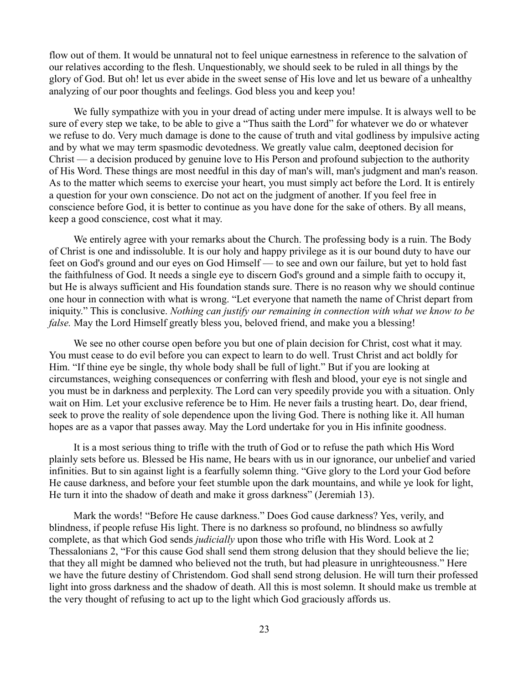flow out of them. It would be unnatural not to feel unique earnestness in reference to the salvation of our relatives according to the flesh. Unquestionably, we should seek to be ruled in all things by the glory of God. But oh! let us ever abide in the sweet sense of His love and let us beware of a unhealthy analyzing of our poor thoughts and feelings. God bless you and keep you!

We fully sympathize with you in your dread of acting under mere impulse. It is always well to be sure of every step we take, to be able to give a "Thus saith the Lord" for whatever we do or whatever we refuse to do. Very much damage is done to the cause of truth and vital godliness by impulsive acting and by what we may term spasmodic devotedness. We greatly value calm, deeptoned decision for Christ — a decision produced by genuine love to His Person and profound subjection to the authority of His Word. These things are most needful in this day of man's will, man's judgment and man's reason. As to the matter which seems to exercise your heart, you must simply act before the Lord. It is entirely a question for your own conscience. Do not act on the judgment of another. If you feel free in conscience before God, it is better to continue as you have done for the sake of others. By all means, keep a good conscience, cost what it may.

We entirely agree with your remarks about the Church. The professing body is a ruin. The Body of Christ is one and indissoluble. It is our holy and happy privilege as it is our bound duty to have our feet on God's ground and our eyes on God Himself — to see and own our failure, but yet to hold fast the faithfulness of God. It needs a single eye to discern God's ground and a simple faith to occupy it, but He is always sufficient and His foundation stands sure. There is no reason why we should continue one hour in connection with what is wrong. "Let everyone that nameth the name of Christ depart from iniquity." This is conclusive. *Nothing can justify our remaining in connection with what we know to be false.* May the Lord Himself greatly bless you, beloved friend, and make you a blessing!

We see no other course open before you but one of plain decision for Christ, cost what it may. You must cease to do evil before you can expect to learn to do well. Trust Christ and act boldly for Him. "If thine eye be single, thy whole body shall be full of light." But if you are looking at circumstances, weighing consequences or conferring with flesh and blood, your eye is not single and you must be in darkness and perplexity. The Lord can very speedily provide you with a situation. Only wait on Him. Let your exclusive reference be to Him. He never fails a trusting heart. Do, dear friend, seek to prove the reality of sole dependence upon the living God. There is nothing like it. All human hopes are as a vapor that passes away. May the Lord undertake for you in His infinite goodness.

It is a most serious thing to trifle with the truth of God or to refuse the path which His Word plainly sets before us. Blessed be His name, He bears with us in our ignorance, our unbelief and varied infinities. But to sin against light is a fearfully solemn thing. "Give glory to the Lord your God before He cause darkness, and before your feet stumble upon the dark mountains, and while ye look for light, He turn it into the shadow of death and make it gross darkness" (Jeremiah 13).

Mark the words! "Before He cause darkness." Does God cause darkness? Yes, verily, and blindness, if people refuse His light. There is no darkness so profound, no blindness so awfully complete, as that which God sends *judicially* upon those who trifle with His Word. Look at 2 Thessalonians 2, "For this cause God shall send them strong delusion that they should believe the lie; that they all might be damned who believed not the truth, but had pleasure in unrighteousness." Here we have the future destiny of Christendom. God shall send strong delusion. He will turn their professed light into gross darkness and the shadow of death. All this is most solemn. It should make us tremble at the very thought of refusing to act up to the light which God graciously affords us.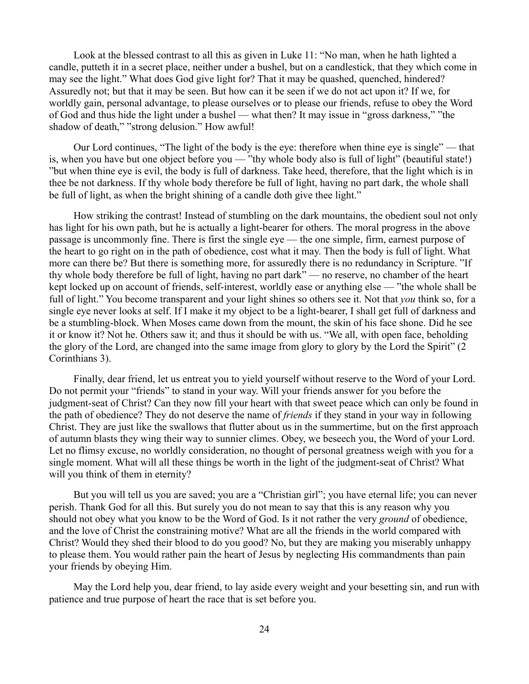Look at the blessed contrast to all this as given in Luke 11: "No man, when he hath lighted a candle, putteth it in a secret place, neither under a bushel, but on a candlestick, that they which come in may see the light." What does God give light for? That it may be quashed, quenched, hindered? Assuredly not; but that it may be seen. But how can it be seen if we do not act upon it? If we, for worldly gain, personal advantage, to please ourselves or to please our friends, refuse to obey the Word of God and thus hide the light under a bushel — what then? It may issue in "gross darkness," "the shadow of death," "strong delusion." How awful!

Our Lord continues, "The light of the body is the eye: therefore when thine eye is single" — that is, when you have but one object before you — "thy whole body also is full of light" (beautiful state!) "but when thine eye is evil, the body is full of darkness. Take heed, therefore, that the light which is in thee be not darkness. If thy whole body therefore be full of light, having no part dark, the whole shall be full of light, as when the bright shining of a candle doth give thee light."

How striking the contrast! Instead of stumbling on the dark mountains, the obedient soul not only has light for his own path, but he is actually a light-bearer for others. The moral progress in the above passage is uncommonly fine. There is first the single eye — the one simple, firm, earnest purpose of the heart to go right on in the path of obedience, cost what it may. Then the body is full of light. What more can there be? But there is something more, for assuredly there is no redundancy in Scripture. "If thy whole body therefore be full of light, having no part dark" — no reserve, no chamber of the heart kept locked up on account of friends, self-interest, worldly ease or anything else — "the whole shall be full of light." You become transparent and your light shines so others see it. Not that *you* think so, for a single eye never looks at self. If I make it my object to be a light-bearer, I shall get full of darkness and be a stumbling-block. When Moses came down from the mount, the skin of his face shone. Did he see it or know it? Not he. Others saw it; and thus it should be with us. "We all, with open face, beholding the glory of the Lord, are changed into the same image from glory to glory by the Lord the Spirit" (2 Corinthians 3).

Finally, dear friend, let us entreat you to yield yourself without reserve to the Word of your Lord. Do not permit your "friends" to stand in your way. Will your friends answer for you before the judgment-seat of Christ? Can they now fill your heart with that sweet peace which can only be found in the path of obedience? They do not deserve the name of *friends* if they stand in your way in following Christ. They are just like the swallows that flutter about us in the summertime, but on the first approach of autumn blasts they wing their way to sunnier climes. Obey, we beseech you, the Word of your Lord. Let no flimsy excuse, no worldly consideration, no thought of personal greatness weigh with you for a single moment. What will all these things be worth in the light of the judgment-seat of Christ? What will you think of them in eternity?

But you will tell us you are saved; you are a "Christian girl"; you have eternal life; you can never perish. Thank God for all this. But surely you do not mean to say that this is any reason why you should not obey what you know to be the Word of God. Is it not rather the very *ground* of obedience, and the love of Christ the constraining motive? What are all the friends in the world compared with Christ? Would they shed their blood to do you good? No, but they are making you miserably unhappy to please them. You would rather pain the heart of Jesus by neglecting His commandments than pain your friends by obeying Him.

May the Lord help you, dear friend, to lay aside every weight and your besetting sin, and run with patience and true purpose of heart the race that is set before you.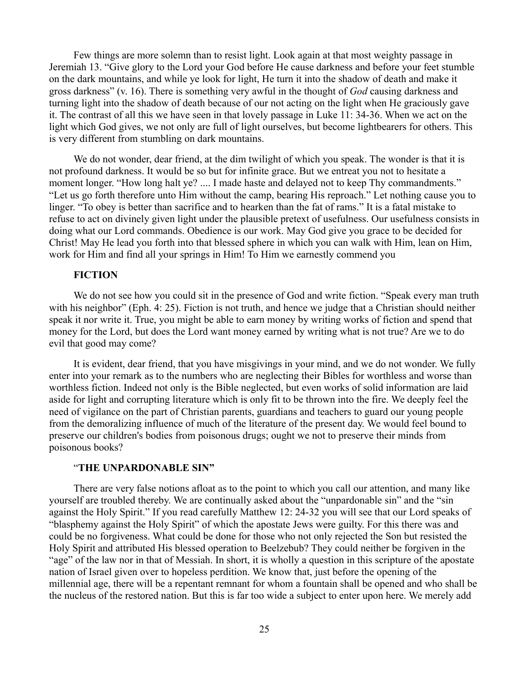Few things are more solemn than to resist light. Look again at that most weighty passage in Jeremiah 13. "Give glory to the Lord your God before He cause darkness and before your feet stumble on the dark mountains, and while ye look for light, He turn it into the shadow of death and make it gross darkness" (v. 16). There is something very awful in the thought of *God* causing darkness and turning light into the shadow of death because of our not acting on the light when He graciously gave it. The contrast of all this we have seen in that lovely passage in Luke 11: 34-36. When we act on the light which God gives, we not only are full of light ourselves, but become lightbearers for others. This is very different from stumbling on dark mountains.

We do not wonder, dear friend, at the dim twilight of which you speak. The wonder is that it is not profound darkness. It would be so but for infinite grace. But we entreat you not to hesitate a moment longer. "How long halt ye? .... I made haste and delayed not to keep Thy commandments." "Let us go forth therefore unto Him without the camp, bearing His reproach." Let nothing cause you to linger. "To obey is better than sacrifice and to hearken than the fat of rams." It is a fatal mistake to refuse to act on divinely given light under the plausible pretext of usefulness. Our usefulness consists in doing what our Lord commands. Obedience is our work. May God give you grace to be decided for Christ! May He lead you forth into that blessed sphere in which you can walk with Him, lean on Him, work for Him and find all your springs in Him! To Him we earnestly commend you

### **FICTION**

We do not see how you could sit in the presence of God and write fiction. "Speak every man truth with his neighbor" (Eph. 4: 25). Fiction is not truth, and hence we judge that a Christian should neither speak it nor write it. True, you might be able to earn money by writing works of fiction and spend that money for the Lord, but does the Lord want money earned by writing what is not true? Are we to do evil that good may come?

It is evident, dear friend, that you have misgivings in your mind, and we do not wonder. We fully enter into your remark as to the numbers who are neglecting their Bibles for worthless and worse than worthless fiction. Indeed not only is the Bible neglected, but even works of solid information are laid aside for light and corrupting literature which is only fit to be thrown into the fire. We deeply feel the need of vigilance on the part of Christian parents, guardians and teachers to guard our young people from the demoralizing influence of much of the literature of the present day. We would feel bound to preserve our children's bodies from poisonous drugs; ought we not to preserve their minds from poisonous books?

#### "**THE UNPARDONABLE SIN"**

There are very false notions afloat as to the point to which you call our attention, and many like yourself are troubled thereby. We are continually asked about the "unpardonable sin" and the "sin against the Holy Spirit." If you read carefully Matthew 12: 24-32 you will see that our Lord speaks of "blasphemy against the Holy Spirit" of which the apostate Jews were guilty. For this there was and could be no forgiveness. What could be done for those who not only rejected the Son but resisted the Holy Spirit and attributed His blessed operation to Beelzebub? They could neither be forgiven in the "age" of the law nor in that of Messiah. In short, it is wholly a question in this scripture of the apostate nation of Israel given over to hopeless perdition. We know that, just before the opening of the millennial age, there will be a repentant remnant for whom a fountain shall be opened and who shall be the nucleus of the restored nation. But this is far too wide a subject to enter upon here. We merely add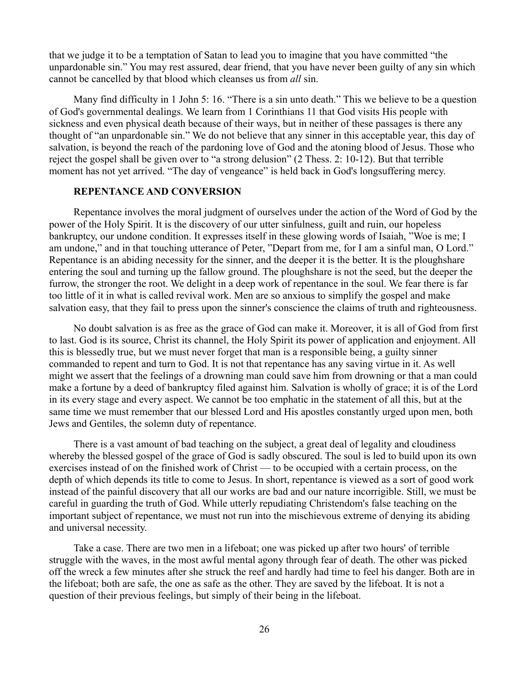that we judge it to be a temptation of Satan to lead you to imagine that you have committed "the unpardonable sin." You may rest assured, dear friend, that you have never been guilty of any sin which cannot be cancelled by that blood which cleanses us from *all* sin.

Many find difficulty in 1 John 5: 16. "There is a sin unto death." This we believe to be a question of God's governmental dealings. We learn from 1 Corinthians 11 that God visits His people with sickness and even physical death because of their ways, but in neither of these passages is there any thought of "an unpardonable sin." We do not believe that any sinner in this acceptable year, this day of salvation, is beyond the reach of the pardoning love of God and the atoning blood of Jesus. Those who reject the gospel shall be given over to "a strong delusion" (2 Thess. 2: 10-12). But that terrible moment has not yet arrived. "The day of vengeance" is held back in God's longsuffering mercy.

## **REPENTANCE AND CONVERSION**

Repentance involves the moral judgment of ourselves under the action of the Word of God by the power of the Holy Spirit. It is the discovery of our utter sinfulness, guilt and ruin, our hopeless bankruptcy, our undone condition. It expresses itself in these glowing words of Isaiah, "Woe is me; I am undone," and in that touching utterance of Peter, "Depart from me, for I am a sinful man, O Lord." Repentance is an abiding necessity for the sinner, and the deeper it is the better. It is the ploughshare entering the soul and turning up the fallow ground. The ploughshare is not the seed, but the deeper the furrow, the stronger the root. We delight in a deep work of repentance in the soul. We fear there is far too little of it in what is called revival work. Men are so anxious to simplify the gospel and make salvation easy, that they fail to press upon the sinner's conscience the claims of truth and righteousness.

No doubt salvation is as free as the grace of God can make it. Moreover, it is all of God from first to last. God is its source, Christ its channel, the Holy Spirit its power of application and enjoyment. All this is blessedly true, but we must never forget that man is a responsible being, a guilty sinner commanded to repent and turn to God. It is not that repentance has any saving virtue in it. As well might we assert that the feelings of a drowning man could save him from drowning or that a man could make a fortune by a deed of bankruptcy filed against him. Salvation is wholly of grace; it is of the Lord in its every stage and every aspect. We cannot be too emphatic in the statement of all this, but at the same time we must remember that our blessed Lord and His apostles constantly urged upon men, both Jews and Gentiles, the solemn duty of repentance.

There is a vast amount of bad teaching on the subject, a great deal of legality and cloudiness whereby the blessed gospel of the grace of God is sadly obscured. The soul is led to build upon its own exercises instead of on the finished work of Christ — to be occupied with a certain process, on the depth of which depends its title to come to Jesus. In short, repentance is viewed as a sort of good work instead of the painful discovery that all our works are bad and our nature incorrigible. Still, we must be careful in guarding the truth of God. While utterly repudiating Christendom's false teaching on the important subject of repentance, we must not run into the mischievous extreme of denying its abiding and universal necessity.

Take a case. There are two men in a lifeboat; one was picked up after two hours' of terrible struggle with the waves, in the most awful mental agony through fear of death. The other was picked off the wreck a few minutes after she struck the reef and hardly had time to feel his danger. Both are in the lifeboat; both are safe, the one as safe as the other. They are saved by the lifeboat. It is not a question of their previous feelings, but simply of their being in the lifeboat.